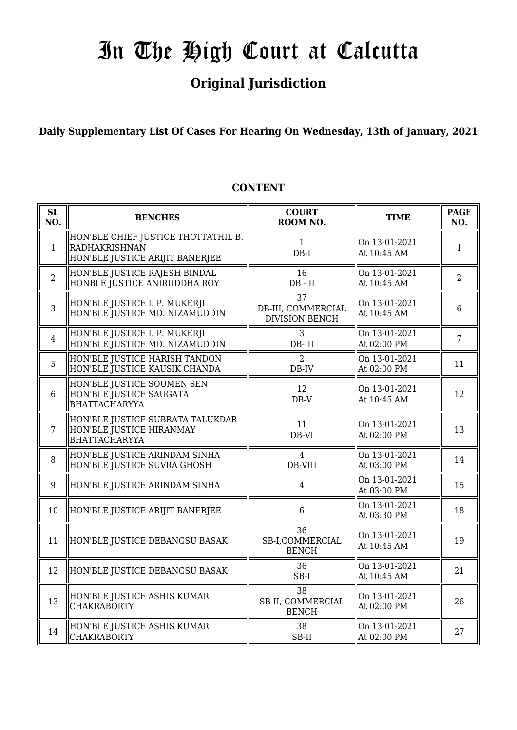# **Original Jurisdiction**

**Daily Supplementary List Of Cases For Hearing On Wednesday, 13th of January, 2021**

| SL<br>NO.      | <b>BENCHES</b>                                                                          | <b>COURT</b><br>ROOM NO.                          | <b>TIME</b>                  | <b>PAGE</b><br>NO. |
|----------------|-----------------------------------------------------------------------------------------|---------------------------------------------------|------------------------------|--------------------|
| $\mathbf{1}$   | HON'BLE CHIEF JUSTICE THOTTATHIL B.<br>RADHAKRISHNAN<br>HON'BLE JUSTICE ARIJIT BANERJEE | $\mathbf{1}$<br>$DB-I$                            | On 13-01-2021<br>At 10:45 AM | $\mathbf{1}$       |
| $\overline{2}$ | HON'BLE JUSTICE RAJESH BINDAL<br>HONBLE JUSTICE ANIRUDDHA ROY                           | 16<br>$DB - II$                                   | On 13-01-2021<br>At 10:45 AM | $\overline{2}$     |
| 3              | HON'BLE JUSTICE I. P. MUKERJI<br>HON'BLE JUSTICE MD. NIZAMUDDIN                         | 37<br>DB-III, COMMERCIAL<br><b>DIVISION BENCH</b> | On 13-01-2021<br>At 10:45 AM | $6\phantom{1}$     |
| $\overline{4}$ | HON'BLE JUSTICE I. P. MUKERJI<br>HON'BLE JUSTICE MD. NIZAMUDDIN                         | 3<br>$DB-III$                                     | On 13-01-2021<br>At 02:00 PM | $\overline{7}$     |
| 5              | HON'BLE JUSTICE HARISH TANDON<br>HON'BLE JUSTICE KAUSIK CHANDA                          | $\overline{2}$<br>$DB$ -IV                        | On 13-01-2021<br>At 02:00 PM | 11                 |
| 6              | HON'BLE JUSTICE SOUMEN SEN<br>HON'BLE JUSTICE SAUGATA<br><b>BHATTACHARYYA</b>           | 12<br>$DB-V$                                      | On 13-01-2021<br>At 10:45 AM | 12                 |
| $\overline{7}$ | HON'BLE JUSTICE SUBRATA TALUKDAR<br>HON'BLE JUSTICE HIRANMAY<br><b>BHATTACHARYYA</b>    | 11<br>DB-VI                                       | On 13-01-2021<br>At 02:00 PM | 13                 |
| 8              | HON'BLE JUSTICE ARINDAM SINHA<br>HON'BLE JUSTICE SUVRA GHOSH                            | $\overline{4}$<br>DB-VIII                         | On 13-01-2021<br>At 03:00 PM | 14                 |
| 9              | HON'BLE JUSTICE ARINDAM SINHA                                                           | $\overline{4}$                                    | On 13-01-2021<br>At 03:00 PM | 15                 |
| 10             | HON'BLE JUSTICE ARIJIT BANERJEE                                                         | 6                                                 | On 13-01-2021<br>At 03:30 PM | 18                 |
| 11             | HON'BLE JUSTICE DEBANGSU BASAK                                                          | 36<br>SB-I,COMMERCIAL<br><b>BENCH</b>             | On 13-01-2021<br>At 10:45 AM | 19                 |
| 12             | HON'BLE JUSTICE DEBANGSU BASAK                                                          | 36<br>$SB-I$                                      | On 13-01-2021<br>At 10:45 AM | 21                 |
| 13             | HON'BLE JUSTICE ASHIS KUMAR<br><b>CHAKRABORTY</b>                                       | 38<br>SB-II, COMMERCIAL<br><b>BENCH</b>           | On 13-01-2021<br>At 02:00 PM | 26                 |
| 14             | HON'BLE JUSTICE ASHIS KUMAR<br><b>CHAKRABORTY</b>                                       | 38<br>SB-II                                       | On 13-01-2021<br>At 02:00 PM | 27                 |

## **CONTENT**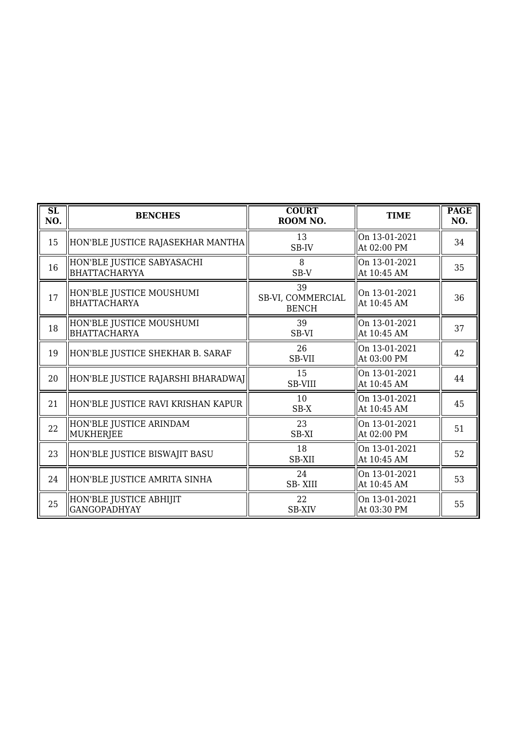| SL<br>NO. | <b>BENCHES</b>                                     | <b>COURT</b><br>ROOM NO.                | <b>TIME</b>                  | <b>PAGE</b><br>NO. |
|-----------|----------------------------------------------------|-----------------------------------------|------------------------------|--------------------|
| 15        | HON'BLE JUSTICE RAJASEKHAR MANTHA                  | 13<br>SB-IV                             | On 13-01-2021<br>At 02:00 PM | 34                 |
| 16        | HON'BLE JUSTICE SABYASACHI<br><b>BHATTACHARYYA</b> | 8<br>$SB-V$                             | On 13-01-2021<br>At 10:45 AM | 35                 |
| 17        | HON'BLE JUSTICE MOUSHUMI<br>BHATTACHARYA           | 39<br>SB-VI, COMMERCIAL<br><b>BENCH</b> | On 13-01-2021<br>At 10:45 AM | 36                 |
| 18        | HON'BLE JUSTICE MOUSHUMI<br>BHATTACHARYA           | 39<br>SB-VI                             | On 13-01-2021<br>At 10:45 AM | 37                 |
| 19        | HON'BLE JUSTICE SHEKHAR B. SARAF                   | 26<br>SB-VII                            | On 13-01-2021<br>At 03:00 PM | 42                 |
| 20        | HON'BLE JUSTICE RAJARSHI BHARADWAJ                 | 15<br><b>SB-VIII</b>                    | On 13-01-2021<br>At 10:45 AM | 44                 |
| 21        | HON'BLE JUSTICE RAVI KRISHAN KAPUR                 | 10<br>SB-X                              | On 13-01-2021<br>At 10:45 AM | 45                 |
| 22        | HON'BLE JUSTICE ARINDAM<br>MUKHERJEE               | 23<br>SB-XI                             | On 13-01-2021<br>At 02:00 PM | 51                 |
| 23        | HON'BLE JUSTICE BISWAJIT BASU                      | 18<br><b>SB-XII</b>                     | On 13-01-2021<br>At 10:45 AM | 52                 |
| 24        | HON'BLE JUSTICE AMRITA SINHA                       | 24<br><b>SB-XIII</b>                    | On 13-01-2021<br>At 10:45 AM | 53                 |
| 25        | HON'BLE JUSTICE ABHIJIT<br><b>GANGOPADHYAY</b>     | 22<br><b>SB-XIV</b>                     | On 13-01-2021<br>At 03:30 PM | 55                 |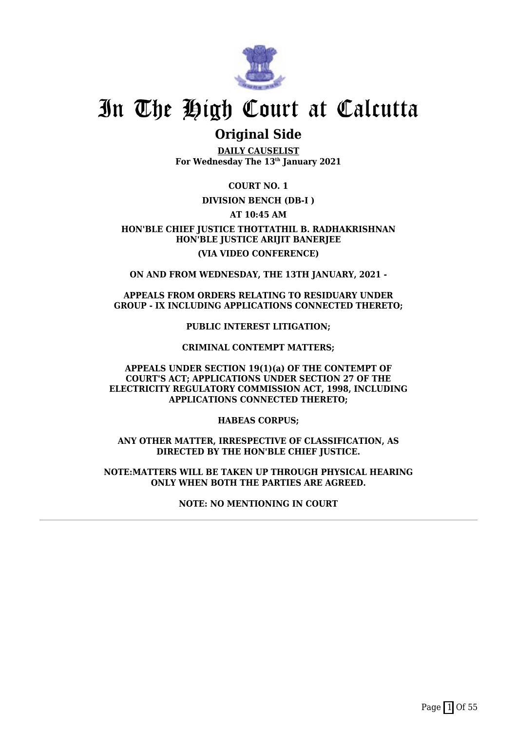

## **Original Side**

**DAILY CAUSELIST For Wednesday The 13th January 2021**

**COURT NO. 1**

### **DIVISION BENCH (DB-I )**

**AT 10:45 AM**

**HON'BLE CHIEF JUSTICE THOTTATHIL B. RADHAKRISHNAN HON'BLE JUSTICE ARIJIT BANERJEE (VIA VIDEO CONFERENCE)**

**ON AND FROM WEDNESDAY, THE 13TH JANUARY, 2021 -**

### **APPEALS FROM ORDERS RELATING TO RESIDUARY UNDER GROUP - IX INCLUDING APPLICATIONS CONNECTED THERETO;**

**PUBLIC INTEREST LITIGATION;**

#### **CRIMINAL CONTEMPT MATTERS;**

**APPEALS UNDER SECTION 19(1)(a) OF THE CONTEMPT OF COURT'S ACT; APPLICATIONS UNDER SECTION 27 OF THE ELECTRICITY REGULATORY COMMISSION ACT, 1998, INCLUDING APPLICATIONS CONNECTED THERETO;**

**HABEAS CORPUS;**

**ANY OTHER MATTER, IRRESPECTIVE OF CLASSIFICATION, AS DIRECTED BY THE HON'BLE CHIEF JUSTICE.**

**NOTE:MATTERS WILL BE TAKEN UP THROUGH PHYSICAL HEARING ONLY WHEN BOTH THE PARTIES ARE AGREED.**

**NOTE: NO MENTIONING IN COURT**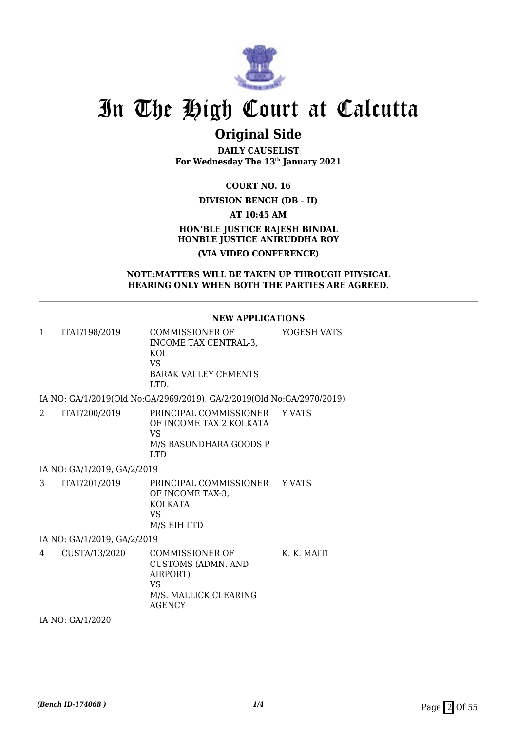

## **Original Side**

**DAILY CAUSELIST For Wednesday The 13th January 2021**

**COURT NO. 16**

### **DIVISION BENCH (DB - II)**

**AT 10:45 AM**

## **HON'BLE JUSTICE RAJESH BINDAL HONBLE JUSTICE ANIRUDDHA ROY (VIA VIDEO CONFERENCE)**

#### **NOTE:MATTERS WILL BE TAKEN UP THROUGH PHYSICAL HEARING ONLY WHEN BOTH THE PARTIES ARE AGREED.**

#### **NEW APPLICATIONS**

| ITAT/198/2019 | COMMISSIONER OF       | YOGESH VATS |
|---------------|-----------------------|-------------|
|               | INCOME TAX CENTRAL-3. |             |
|               | KOL.                  |             |
|               | VS                    |             |
|               | BARAK VALLEY CEMENTS  |             |
|               | I TD                  |             |

IA NO: GA/1/2019(Old No:GA/2969/2019), GA/2/2019(Old No:GA/2970/2019)

| ITAT/200/2019 | PRINCIPAL COMMISSIONER YVATS<br>OF INCOME TAX 2 KOLKATA<br>VS.<br>M/S BASUNDHARA GOODS P<br>I TD |  |
|---------------|--------------------------------------------------------------------------------------------------|--|
|               |                                                                                                  |  |

IA NO: GA/1/2019, GA/2/2019

3 ITAT/201/2019 PRINCIPAL COMMISSIONER Y VATS OF INCOME TAX-3, KOLKATA VS M/S EIH LTD

IA NO: GA/1/2019, GA/2/2019

4 CUSTA/13/2020 COMMISSIONER OF CUSTOMS (ADMN. AND AIRPORT) VS M/S. MALLICK CLEARING AGENCY K. K. MAITI

IA NO: GA/1/2020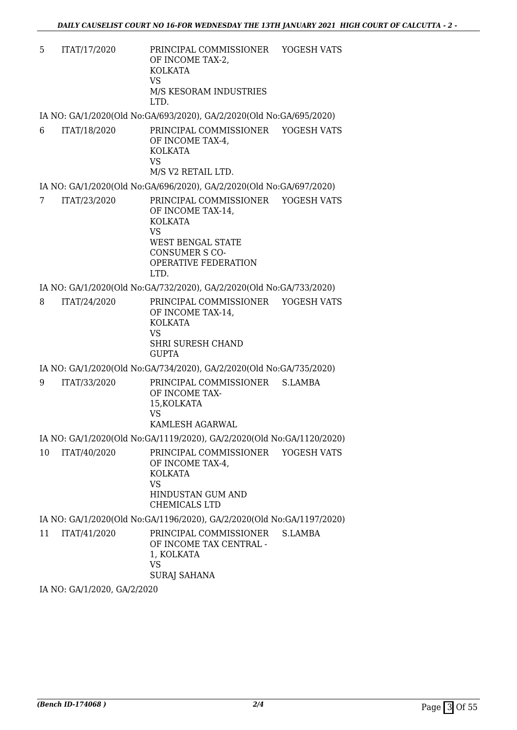5 ITAT/17/2020 PRINCIPAL COMMISSIONER OF INCOME TAX-2, KOLKATA VS M/S KESORAM INDUSTRIES LTD. YOGESH VATS

IA NO: GA/1/2020(Old No:GA/693/2020), GA/2/2020(Old No:GA/695/2020)

6 ITAT/18/2020 PRINCIPAL COMMISSIONER OF INCOME TAX-4, KOLKATA VS M/S V2 RETAIL LTD. YOGESH VATS

IA NO: GA/1/2020(Old No:GA/696/2020), GA/2/2020(Old No:GA/697/2020)

7 ITAT/23/2020 PRINCIPAL COMMISSIONER YOGESH VATS OF INCOME TAX-14, KOLKATA VS WEST BENGAL STATE CONSUMER S CO-OPERATIVE FEDERATION LTD.

IA NO: GA/1/2020(Old No:GA/732/2020), GA/2/2020(Old No:GA/733/2020)

8 ITAT/24/2020 PRINCIPAL COMMISSIONER OF INCOME TAX-14, KOLKATA VS SHRI SURESH CHAND **GUPTA** YOGESH VATS

IA NO: GA/1/2020(Old No:GA/734/2020), GA/2/2020(Old No:GA/735/2020)

9 ITAT/33/2020 PRINCIPAL COMMISSIONER OF INCOME TAX-15,KOLKATA VS KAMLESH AGARWAL S.LAMBA

IA NO: GA/1/2020(Old No:GA/1119/2020), GA/2/2020(Old No:GA/1120/2020)

10 ITAT/40/2020 PRINCIPAL COMMISSIONER OF INCOME TAX-4, KOLKATA VS HINDUSTAN GUM AND CHEMICALS LTD YOGESH VATS

IA NO: GA/1/2020(Old No:GA/1196/2020), GA/2/2020(Old No:GA/1197/2020)

11 ITAT/41/2020 PRINCIPAL COMMISSIONER OF INCOME TAX CENTRAL - 1, KOLKATA VS SURAJ SAHANA S.LAMBA

IA NO: GA/1/2020, GA/2/2020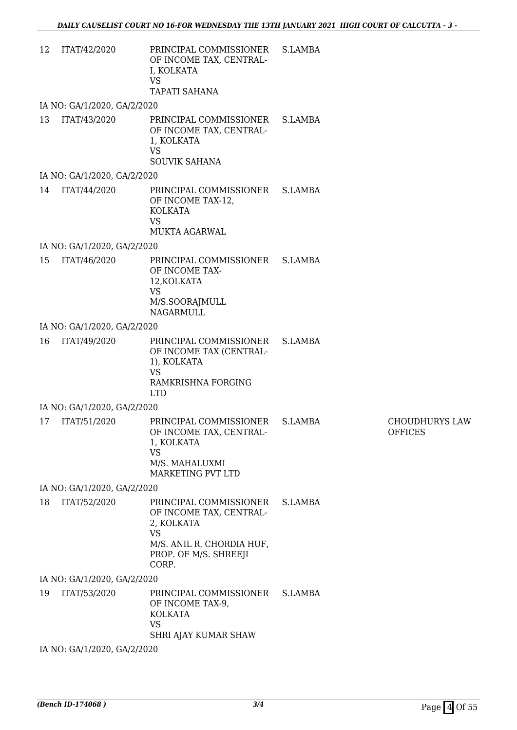| 12 | ITAT/42/2020                | PRINCIPAL COMMISSIONER<br>OF INCOME TAX, CENTRAL-<br>I, KOLKATA<br><b>VS</b><br><b>TAPATI SAHANA</b>                                        | S.LAMBA |                                         |
|----|-----------------------------|---------------------------------------------------------------------------------------------------------------------------------------------|---------|-----------------------------------------|
|    | IA NO: GA/1/2020, GA/2/2020 |                                                                                                                                             |         |                                         |
| 13 | ITAT/43/2020                | PRINCIPAL COMMISSIONER<br>OF INCOME TAX, CENTRAL-<br>1, KOLKATA<br><b>VS</b><br><b>SOUVIK SAHANA</b>                                        | S.LAMBA |                                         |
|    | IA NO: GA/1/2020, GA/2/2020 |                                                                                                                                             |         |                                         |
| 14 | ITAT/44/2020                | PRINCIPAL COMMISSIONER S.LAMBA<br>OF INCOME TAX-12,<br><b>KOLKATA</b><br><b>VS</b><br>MUKTA AGARWAL                                         |         |                                         |
|    | IA NO: GA/1/2020, GA/2/2020 |                                                                                                                                             |         |                                         |
| 15 | ITAT/46/2020                | PRINCIPAL COMMISSIONER<br>OF INCOME TAX-<br>12, KOLKATA<br><b>VS</b><br>M/S.SOORAJMULL<br><b>NAGARMULL</b>                                  | S.LAMBA |                                         |
|    | IA NO: GA/1/2020, GA/2/2020 |                                                                                                                                             |         |                                         |
| 16 | ITAT/49/2020                | PRINCIPAL COMMISSIONER<br>OF INCOME TAX (CENTRAL-<br>1), KOLKATA<br><b>VS</b><br><b>RAMKRISHNA FORGING</b><br><b>LTD</b>                    | S.LAMBA |                                         |
|    | IA NO: GA/1/2020, GA/2/2020 |                                                                                                                                             |         |                                         |
| 17 | ITAT/51/2020                | PRINCIPAL COMMISSIONER<br>OF INCOME TAX, CENTRAL-<br>1, KOLKATA<br><b>VS</b><br>M/S. MAHALUXMI<br>MARKETING PVT LTD                         | S.LAMBA | <b>CHOUDHURYS LAW</b><br><b>OFFICES</b> |
|    | IA NO: GA/1/2020, GA/2/2020 |                                                                                                                                             |         |                                         |
| 18 | ITAT/52/2020                | PRINCIPAL COMMISSIONER<br>OF INCOME TAX, CENTRAL-<br>2, KOLKATA<br><b>VS</b><br>M/S. ANIL R. CHORDIA HUF,<br>PROP. OF M/S. SHREEJI<br>CORP. | S.LAMBA |                                         |
|    | IA NO: GA/1/2020, GA/2/2020 |                                                                                                                                             |         |                                         |
| 19 | ITAT/53/2020                | PRINCIPAL COMMISSIONER<br>OF INCOME TAX-9,<br><b>KOLKATA</b><br><b>VS</b><br>SHRI AJAY KUMAR SHAW                                           | S.LAMBA |                                         |

IA NO: GA/1/2020, GA/2/2020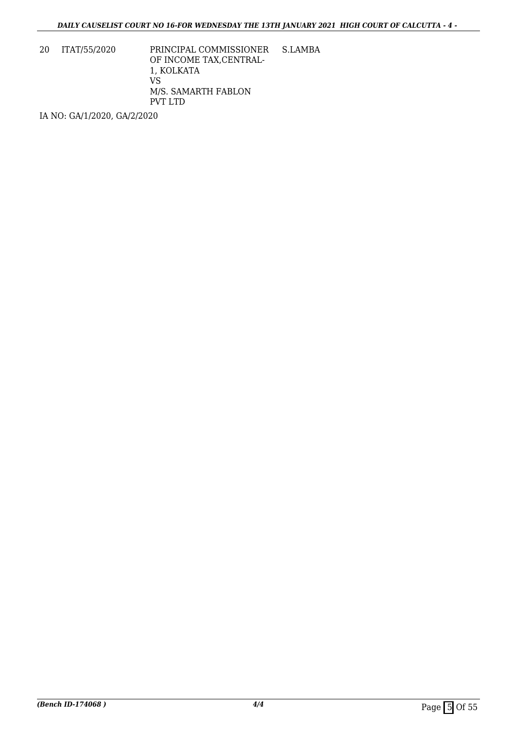20 ITAT/55/2020 PRINCIPAL COMMISSIONER OF INCOME TAX,CENTRAL-1, KOLKATA VS M/S. SAMARTH FABLON PVT LTD S.LAMBA

IA NO: GA/1/2020, GA/2/2020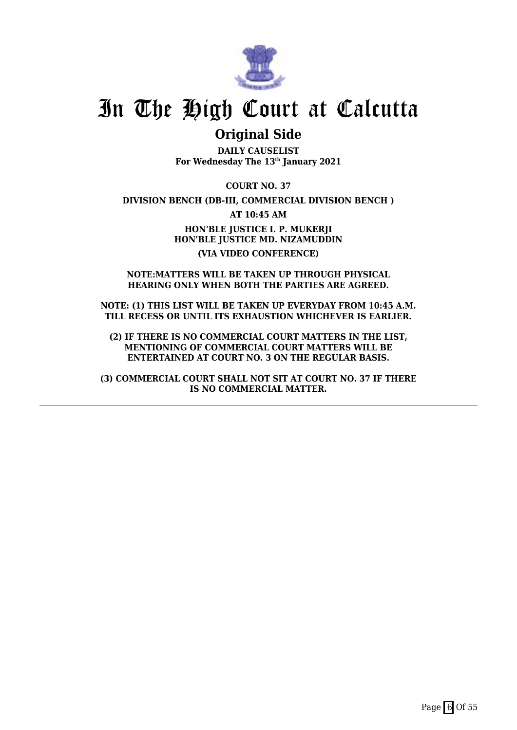

## **Original Side**

**DAILY CAUSELIST For Wednesday The 13th January 2021**

**COURT NO. 37**

**DIVISION BENCH (DB-III, COMMERCIAL DIVISION BENCH )**

**AT 10:45 AM**

**HON'BLE JUSTICE I. P. MUKERJI HON'BLE JUSTICE MD. NIZAMUDDIN (VIA VIDEO CONFERENCE)**

#### **NOTE:MATTERS WILL BE TAKEN UP THROUGH PHYSICAL HEARING ONLY WHEN BOTH THE PARTIES ARE AGREED.**

**NOTE: (1) THIS LIST WILL BE TAKEN UP EVERYDAY FROM 10:45 A.M. TILL RECESS OR UNTIL ITS EXHAUSTION WHICHEVER IS EARLIER.**

**(2) IF THERE IS NO COMMERCIAL COURT MATTERS IN THE LIST, MENTIONING OF COMMERCIAL COURT MATTERS WILL BE ENTERTAINED AT COURT NO. 3 ON THE REGULAR BASIS.**

**(3) COMMERCIAL COURT SHALL NOT SIT AT COURT NO. 37 IF THERE IS NO COMMERCIAL MATTER.**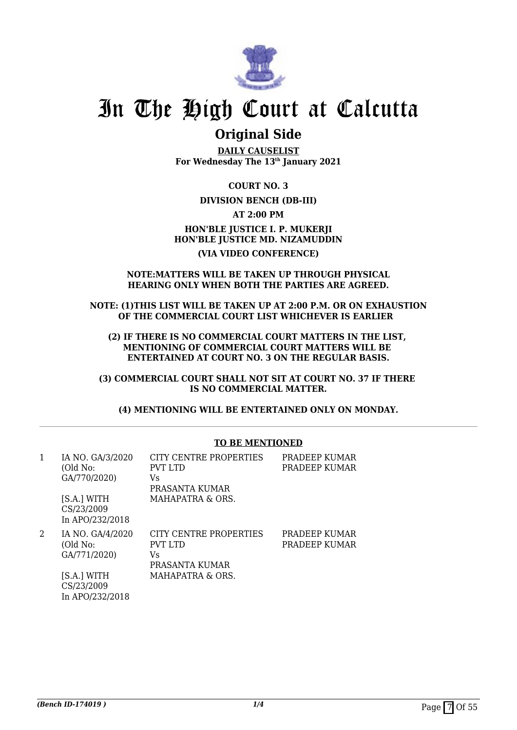

## **Original Side**

**DAILY CAUSELIST For Wednesday The 13th January 2021**

**COURT NO. 3**

### **DIVISION BENCH (DB-III)**

**AT 2:00 PM**

## **HON'BLE JUSTICE I. P. MUKERJI HON'BLE JUSTICE MD. NIZAMUDDIN (VIA VIDEO CONFERENCE)**

#### **NOTE:MATTERS WILL BE TAKEN UP THROUGH PHYSICAL HEARING ONLY WHEN BOTH THE PARTIES ARE AGREED.**

**NOTE: (1)THIS LIST WILL BE TAKEN UP AT 2:00 P.M. OR ON EXHAUSTION OF THE COMMERCIAL COURT LIST WHICHEVER IS EARLIER** 

**(2) IF THERE IS NO COMMERCIAL COURT MATTERS IN THE LIST, MENTIONING OF COMMERCIAL COURT MATTERS WILL BE ENTERTAINED AT COURT NO. 3 ON THE REGULAR BASIS.**

**(3) COMMERCIAL COURT SHALL NOT SIT AT COURT NO. 37 IF THERE IS NO COMMERCIAL MATTER.**

**(4) MENTIONING WILL BE ENTERTAINED ONLY ON MONDAY.**

#### **TO BE MENTIONED**

| 1 | IA NO. GA/3/2020<br>(Old No:<br>GA/770/2020)<br>[S.A.] WITH<br>CS/23/2009<br>In APO/232/2018 | CITY CENTRE PROPERTIES<br>PVT LTD<br>Vs<br>PRASANTA KUMAR<br>MAHAPATRA & ORS. | PRADEEP KUMAR<br>PRADEEP KUMAR |
|---|----------------------------------------------------------------------------------------------|-------------------------------------------------------------------------------|--------------------------------|
| 2 | IA NO. GA/4/2020<br>(Old No:<br>GA/771/2020)<br>[S.A.] WITH<br>CS/23/2009<br>In APO/232/2018 | CITY CENTRE PROPERTIES<br>PVT LTD<br>Vs<br>PRASANTA KUMAR<br>MAHAPATRA & ORS. | PRADEEP KUMAR<br>PRADEEP KUMAR |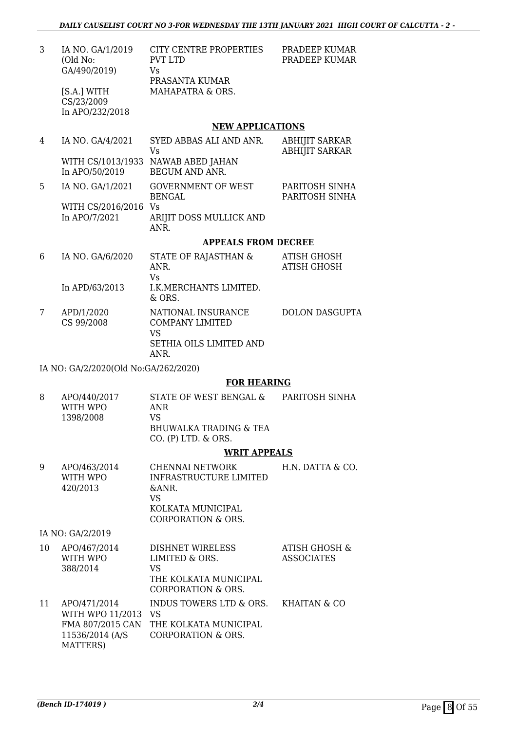| 3 | IA NO. GA/1/2019<br>(Old No:<br>GA/490/2019)<br>[S.A.] WITH<br>CS/23/2009<br>In APO/232/2018 | <b>CITY CENTRE PROPERTIES</b><br><b>PVT LTD</b><br>Vs<br>PRASANTA KUMAR<br>MAHAPATRA & ORS.  | PRADEEP KUMAR<br>PRADEEP KUMAR                 |
|---|----------------------------------------------------------------------------------------------|----------------------------------------------------------------------------------------------|------------------------------------------------|
|   |                                                                                              | <b>NEW APPLICATIONS</b>                                                                      |                                                |
| 4 | IA NO. GA/4/2021                                                                             | SYED ABBAS ALI AND ANR.<br>Vs                                                                | <b>ABHIJIT SARKAR</b><br><b>ABHIJIT SARKAR</b> |
|   | WITH CS/1013/1933<br>In APO/50/2019                                                          | NAWAB ABED JAHAN<br><b>BEGUM AND ANR.</b>                                                    |                                                |
| 5 | IA NO. GA/1/2021                                                                             | <b>GOVERNMENT OF WEST</b><br><b>BENGAL</b>                                                   | PARITOSH SINHA<br>PARITOSH SINHA               |
|   | WITH CS/2016/2016<br>In APO/7/2021                                                           | Vs<br>ARIJIT DOSS MULLICK AND<br>ANR.                                                        |                                                |
|   |                                                                                              | <b>APPEALS FROM DECREE</b>                                                                   |                                                |
| 6 | IA NO. GA/6/2020                                                                             | STATE OF RAJASTHAN &<br>ANR.<br><b>V<sub>S</sub></b>                                         | <b>ATISH GHOSH</b><br><b>ATISH GHOSH</b>       |
|   | In APD/63/2013                                                                               | I.K. MERCHANTS LIMITED.<br>$&$ ORS.                                                          |                                                |
| 7 | APD/1/2020<br>CS 99/2008                                                                     | NATIONAL INSURANCE<br><b>COMPANY LIMITED</b><br><b>VS</b><br>SETHIA OILS LIMITED AND<br>ANR. | <b>DOLON DASGUPTA</b>                          |

IA NO: GA/2/2020(Old No:GA/262/2020)

#### **FOR HEARING**

8 APO/440/2017 WITH WPO 1398/2008 STATE OF WEST BENGAL & ANR VS BHUWALKA TRADING & TEA CO. (P) LTD. & ORS. PARITOSH SINHA

#### **WRIT APPEALS**

| 9  | APO/463/2014<br>WITH WPO<br>420/2013 | <b>CHENNAI NETWORK</b><br>INFRASTRUCTURE LIMITED<br>&ANR.<br>VS<br>KOLKATA MUNICIPAL<br>CORPORATION & ORS. | H.N. DATTA & CO.         |
|----|--------------------------------------|------------------------------------------------------------------------------------------------------------|--------------------------|
|    | IA NO: GA/2/2019                     |                                                                                                            |                          |
| 10 | APO/467/2014<br>TITTTTT TITDO        | <b>DISHNET WIRELESS</b><br>III HEED CODO                                                                   | ATISH GHOSH &<br>1000011 |

| ΙV | AUU4U12U14<br>WITH WPO<br>388/2014                                      | DIOIIINEI WIILEEOO<br>LIMITED & ORS.<br>VS                                              | AHJII UHUJII U<br><b>ASSOCIATES</b> |
|----|-------------------------------------------------------------------------|-----------------------------------------------------------------------------------------|-------------------------------------|
|    |                                                                         | THE KOLKATA MUNICIPAL<br>CORPORATION & ORS.                                             |                                     |
| 11 | APO/471/2014<br>WITH WPO 11/2013<br>FMA 807/2015 CAN<br>11536/2014 (A/S | INDUS TOWERS LTD & ORS.<br>VS<br>THE KOLKATA MUNICIPAL<br><b>CORPORATION &amp; ORS.</b> | KHAITAN & CO                        |
|    | MATTERS)                                                                |                                                                                         |                                     |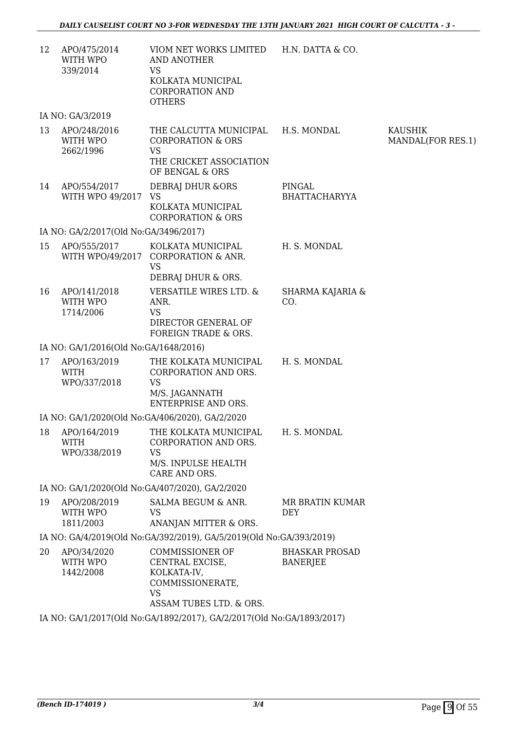| 12 | APO/475/2014<br>WITH WPO<br>339/2014        | VIOM NET WORKS LIMITED H.N. DATTA & CO.<br>AND ANOTHER<br><b>VS</b><br>KOLKATA MUNICIPAL<br><b>CORPORATION AND</b><br><b>OTHERS</b> |                                          |                                     |
|----|---------------------------------------------|-------------------------------------------------------------------------------------------------------------------------------------|------------------------------------------|-------------------------------------|
|    | IA NO: GA/3/2019                            |                                                                                                                                     |                                          |                                     |
| 13 | APO/248/2016<br>WITH WPO<br>2662/1996       | THE CALCUTTA MUNICIPAL<br><b>CORPORATION &amp; ORS</b><br><b>VS</b><br>THE CRICKET ASSOCIATION<br>OF BENGAL & ORS                   | H.S. MONDAL                              | <b>KAUSHIK</b><br>MANDAL(FOR RES.1) |
| 14 | APO/554/2017<br>WITH WPO 49/2017 VS         | DEBRAJ DHUR & ORS<br>KOLKATA MUNICIPAL<br><b>CORPORATION &amp; ORS</b>                                                              | PINGAL<br><b>BHATTACHARYYA</b>           |                                     |
|    | IA NO: GA/2/2017(Old No:GA/3496/2017)       |                                                                                                                                     |                                          |                                     |
| 15 | APO/555/2017                                | KOLKATA MUNICIPAL<br>WITH WPO/49/2017 CORPORATION & ANR.<br><b>VS</b><br>DEBRAJ DHUR & ORS.                                         | H. S. MONDAL                             |                                     |
| 16 | APO/141/2018<br>WITH WPO<br>1714/2006       | VERSATILE WIRES LTD. &<br>ANR.<br><b>VS</b><br>DIRECTOR GENERAL OF<br>FOREIGN TRADE & ORS.                                          | SHARMA KAJARIA &<br>CO.                  |                                     |
|    | IA NO: GA/1/2016(Old No:GA/1648/2016)       |                                                                                                                                     |                                          |                                     |
| 17 | APO/163/2019<br><b>WITH</b><br>WPO/337/2018 | THE KOLKATA MUNICIPAL<br>CORPORATION AND ORS.<br><b>VS</b><br>M/S. JAGANNATH<br><b>ENTERPRISE AND ORS.</b>                          | H. S. MONDAL                             |                                     |
|    |                                             | IA NO: GA/1/2020(Old No:GA/406/2020), GA/2/2020                                                                                     |                                          |                                     |
|    | WITH<br>WPO/338/2019                        | 18 APO/164/2019 THE KOLKATA MUNICIPAL H. S. MONDAL<br>CORPORATION AND ORS.<br><b>VS</b><br>M/S. INPULSE HEALTH<br>CARE AND ORS.     |                                          |                                     |
|    |                                             | IA NO: GA/1/2020(Old No:GA/407/2020), GA/2/2020                                                                                     |                                          |                                     |
| 19 | APO/208/2019<br>WITH WPO<br>1811/2003       | SALMA BEGUM & ANR.<br><b>VS</b><br>ANANJAN MITTER & ORS.                                                                            | MR BRATIN KUMAR<br>DEY                   |                                     |
|    |                                             | IA NO: GA/4/2019(Old No:GA/392/2019), GA/5/2019(Old No:GA/393/2019)                                                                 |                                          |                                     |
| 20 | APO/34/2020<br>WITH WPO<br>1442/2008        | <b>COMMISSIONER OF</b><br>CENTRAL EXCISE,<br>KOLKATA-IV,<br>COMMISSIONERATE,<br><b>VS</b><br>ASSAM TUBES LTD. & ORS.                | <b>BHASKAR PROSAD</b><br><b>BANERJEE</b> |                                     |
|    |                                             | IA NO: GA/1/2017(Old No:GA/1892/2017), GA/2/2017(Old No:GA/1893/2017)                                                               |                                          |                                     |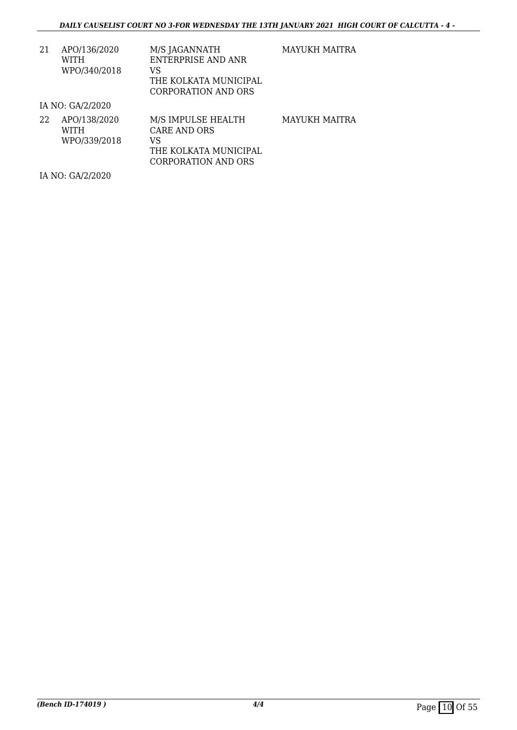| 21 | APO/136/2020 | M/S JAGANNATH         |
|----|--------------|-----------------------|
|    | WITH         | ENTERPRISE AND ANR    |
|    | WPO/340/2018 | VS.                   |
|    |              | THE KOLKATA MUNICIPAL |
|    |              | CORPORATION AND ORS   |

MAYUKH MAITRA

IA NO: GA/2/2020

| 22 | APO/138/2020 | M/S IMPULSE HEALTH    | MAYUKH MAITRA |
|----|--------------|-----------------------|---------------|
|    | <b>WITH</b>  | CARE AND ORS          |               |
|    | WPO/339/2018 | VS                    |               |
|    |              | THE KOLKATA MUNICIPAL |               |
|    |              | CORPORATION AND ORS   |               |

IA NO: GA/2/2020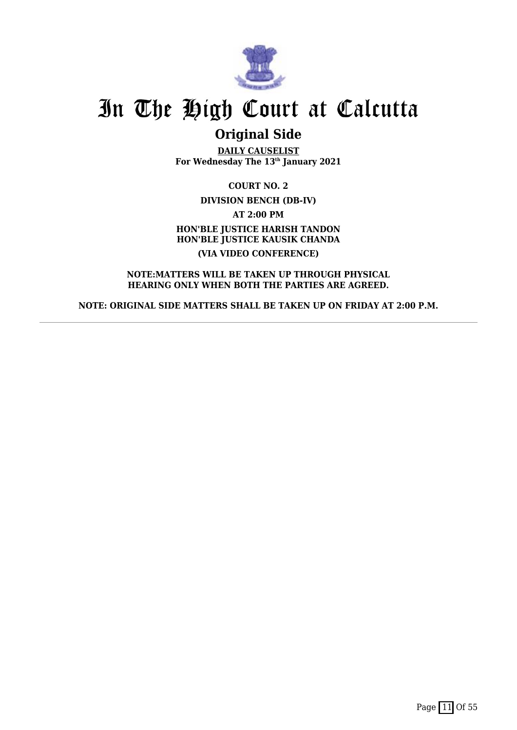

## **Original Side**

**DAILY CAUSELIST For Wednesday The 13th January 2021**

**COURT NO. 2 DIVISION BENCH (DB-IV) AT 2:00 PM HON'BLE JUSTICE HARISH TANDON HON'BLE JUSTICE KAUSIK CHANDA (VIA VIDEO CONFERENCE)**

**NOTE:MATTERS WILL BE TAKEN UP THROUGH PHYSICAL HEARING ONLY WHEN BOTH THE PARTIES ARE AGREED.**

**NOTE: ORIGINAL SIDE MATTERS SHALL BE TAKEN UP ON FRIDAY AT 2:00 P.M.**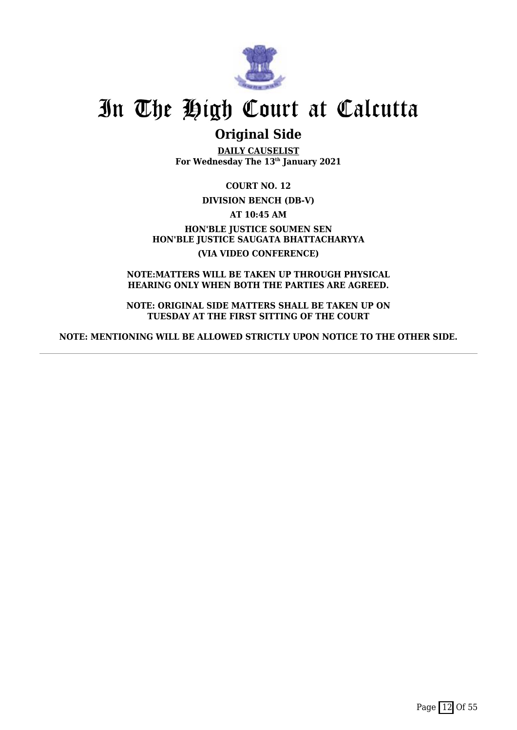

## **Original Side**

**DAILY CAUSELIST For Wednesday The 13th January 2021**

**COURT NO. 12**

**DIVISION BENCH (DB-V)**

**AT 10:45 AM**

**HON'BLE JUSTICE SOUMEN SEN HON'BLE JUSTICE SAUGATA BHATTACHARYYA (VIA VIDEO CONFERENCE)**

**NOTE:MATTERS WILL BE TAKEN UP THROUGH PHYSICAL HEARING ONLY WHEN BOTH THE PARTIES ARE AGREED.**

**NOTE: ORIGINAL SIDE MATTERS SHALL BE TAKEN UP ON TUESDAY AT THE FIRST SITTING OF THE COURT**

**NOTE: MENTIONING WILL BE ALLOWED STRICTLY UPON NOTICE TO THE OTHER SIDE.**

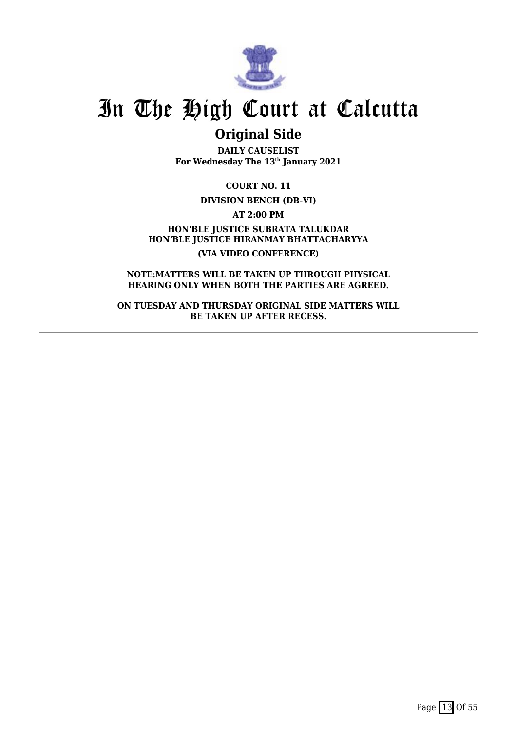

## **Original Side**

**DAILY CAUSELIST For Wednesday The 13th January 2021**

**COURT NO. 11**

**DIVISION BENCH (DB-VI)**

**AT 2:00 PM**

**HON'BLE JUSTICE SUBRATA TALUKDAR HON'BLE JUSTICE HIRANMAY BHATTACHARYYA (VIA VIDEO CONFERENCE)**

**NOTE:MATTERS WILL BE TAKEN UP THROUGH PHYSICAL HEARING ONLY WHEN BOTH THE PARTIES ARE AGREED.**

**ON TUESDAY AND THURSDAY ORIGINAL SIDE MATTERS WILL BE TAKEN UP AFTER RECESS.**

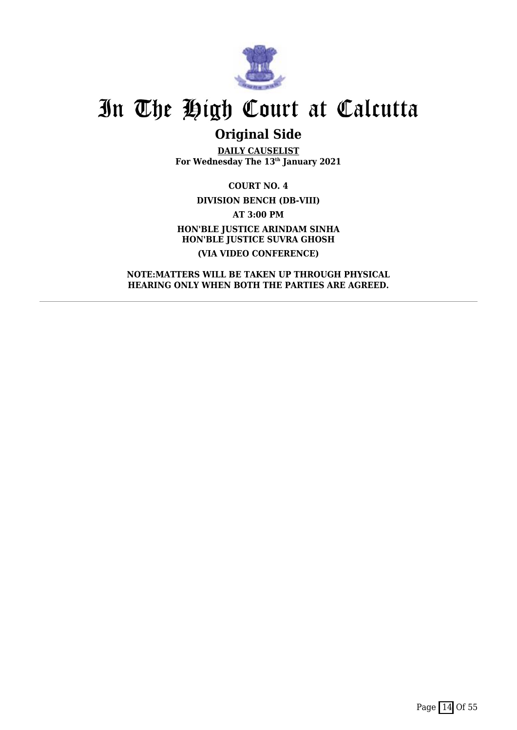

# **Original Side**

**DAILY CAUSELIST For Wednesday The 13th January 2021**

**COURT NO. 4 DIVISION BENCH (DB-VIII) AT 3:00 PM HON'BLE JUSTICE ARINDAM SINHA HON'BLE JUSTICE SUVRA GHOSH (VIA VIDEO CONFERENCE)**

**NOTE:MATTERS WILL BE TAKEN UP THROUGH PHYSICAL HEARING ONLY WHEN BOTH THE PARTIES ARE AGREED.**

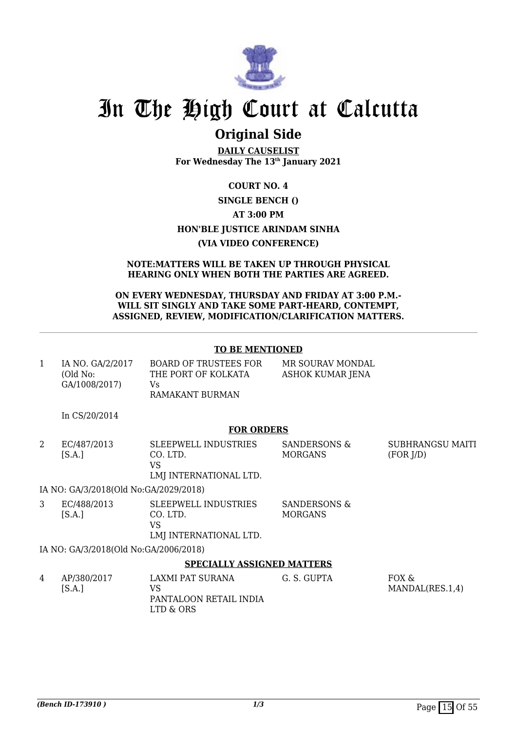

## **Original Side**

**DAILY CAUSELIST For Wednesday The 13th January 2021**

## **COURT NO. 4 SINGLE BENCH () AT 3:00 PM HON'BLE JUSTICE ARINDAM SINHA (VIA VIDEO CONFERENCE)**

#### **NOTE:MATTERS WILL BE TAKEN UP THROUGH PHYSICAL HEARING ONLY WHEN BOTH THE PARTIES ARE AGREED.**

### **ON EVERY WEDNESDAY, THURSDAY AND FRIDAY AT 3:00 P.M.- WILL SIT SINGLY AND TAKE SOME PART-HEARD, CONTEMPT, ASSIGNED, REVIEW, MODIFICATION/CLARIFICATION MATTERS.**

### **TO BE MENTIONED**

| IA NO. GA/2/2017<br>(Old No: | <b>BOARD OF TRUSTEES FOR</b><br>THE PORT OF KOLKATA | MR SOURAV MONDAL<br>ASHOK KUMAR JENA |
|------------------------------|-----------------------------------------------------|--------------------------------------|
| GA/1008/2017)                | Vs.                                                 |                                      |
|                              | RAMAKANT BURMAN                                     |                                      |

In CS/20/2014

### **FOR ORDERS**

2 EC/487/2013  $[S.A.]$ SLEEPWELL INDUSTRIES CO. LTD. VS LMJ INTERNATIONAL LTD. SANDERSONS & MORGANS SUBHRANGSU MAITI (FOR J/D)

IA NO: GA/3/2018(Old No:GA/2029/2018)

3 EC/488/2013  $[S.A.]$ SLEEPWELL INDUSTRIES CO. LTD. VS LMJ INTERNATIONAL LTD. SANDERSONS & MORGANS

IA NO: GA/3/2018(Old No:GA/2006/2018)

### **SPECIALLY ASSIGNED MATTERS**

| 4 | AP/380/2017<br>[S.A.] | LAXMI PAT SURANA<br>PANTALOON RETAIL INDIA | G. S. GUPTA | FOX &<br>MANDAL(RES.1,4) |
|---|-----------------------|--------------------------------------------|-------------|--------------------------|
|   |                       | LTD & ORS                                  |             |                          |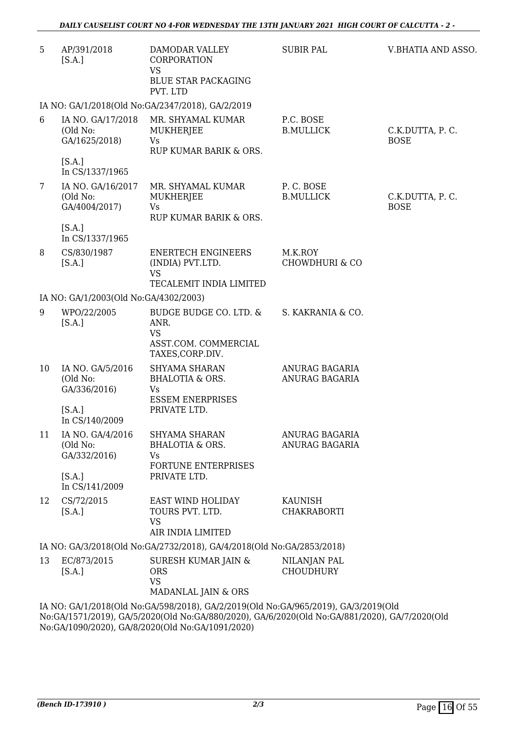| 5              | AP/391/2018<br>[S.A.]                                    | DAMODAR VALLEY<br>CORPORATION<br><b>VS</b><br><b>BLUE STAR PACKAGING</b><br>PVT. LTD                                                                                                                                                    | <b>SUBIR PAL</b>                        | V.BHATIA AND ASSO.             |
|----------------|----------------------------------------------------------|-----------------------------------------------------------------------------------------------------------------------------------------------------------------------------------------------------------------------------------------|-----------------------------------------|--------------------------------|
|                |                                                          | IA NO: GA/1/2018(Old No:GA/2347/2018), GA/2/2019                                                                                                                                                                                        |                                         |                                |
| 6              | IA NO. GA/17/2018<br>(Old No:<br>GA/1625/2018)<br>[S.A.] | MR. SHYAMAL KUMAR<br>MUKHERJEE<br><b>Vs</b><br>RUP KUMAR BARIK & ORS.                                                                                                                                                                   | P.C. BOSE<br><b>B.MULLICK</b>           | C.K.DUTTA, P.C.<br><b>BOSE</b> |
|                | In CS/1337/1965                                          |                                                                                                                                                                                                                                         |                                         |                                |
| $7\phantom{.}$ | IA NO. GA/16/2017<br>(Old No:<br>GA/4004/2017)           | MR. SHYAMAL KUMAR<br>MUKHERJEE<br><b>Vs</b><br>RUP KUMAR BARIK & ORS.                                                                                                                                                                   | P.C. BOSE<br><b>B.MULLICK</b>           | C.K.DUTTA, P.C.<br><b>BOSE</b> |
|                | [S.A.]<br>In CS/1337/1965                                |                                                                                                                                                                                                                                         |                                         |                                |
| 8              | CS/830/1987<br>[S.A.]                                    | <b>ENERTECH ENGINEERS</b><br>(INDIA) PVT.LTD.<br><b>VS</b>                                                                                                                                                                              | M.K.ROY<br><b>CHOWDHURI &amp; CO</b>    |                                |
|                |                                                          | TECALEMIT INDIA LIMITED                                                                                                                                                                                                                 |                                         |                                |
|                | IA NO: GA/1/2003(Old No:GA/4302/2003)                    |                                                                                                                                                                                                                                         |                                         |                                |
| 9              | WPO/22/2005<br>[S.A.]                                    | BUDGE BUDGE CO. LTD. &<br>ANR.<br><b>VS</b><br>ASST.COM. COMMERCIAL<br>TAXES, CORP.DIV.                                                                                                                                                 | S. KAKRANIA & CO.                       |                                |
| 10             | IA NO. GA/5/2016<br>(Old No:<br>GA/336/2016)             | <b>SHYAMA SHARAN</b><br><b>BHALOTIA &amp; ORS.</b><br>Vs<br><b>ESSEM ENERPRISES</b>                                                                                                                                                     | ANURAG BAGARIA<br><b>ANURAG BAGARIA</b> |                                |
|                | [S.A.]<br>In CS/140/2009                                 | PRIVATE LTD.                                                                                                                                                                                                                            |                                         |                                |
| 11             | IA NO. GA/4/2016<br>(Old No:<br>GA/332/2016)             | SHYAMA SHARAN<br><b>BHALOTIA &amp; ORS.</b><br>Vs<br>FORTUNE ENTERPRISES                                                                                                                                                                | ANURAG BAGARIA<br>ANURAG BAGARIA        |                                |
|                | [S.A.]<br>In CS/141/2009                                 | PRIVATE LTD.                                                                                                                                                                                                                            |                                         |                                |
| 12             | CS/72/2015<br>[S.A.]                                     | EAST WIND HOLIDAY<br>TOURS PVT. LTD.<br><b>VS</b>                                                                                                                                                                                       | KAUNISH<br><b>CHAKRABORTI</b>           |                                |
|                |                                                          | AIR INDIA LIMITED                                                                                                                                                                                                                       |                                         |                                |
|                |                                                          | IA NO: GA/3/2018(Old No:GA/2732/2018), GA/4/2018(Old No:GA/2853/2018)                                                                                                                                                                   |                                         |                                |
| 13             | EC/873/2015<br>[S.A.]                                    | SURESH KUMAR JAIN &<br><b>ORS</b><br><b>VS</b><br>MADANLAL JAIN & ORS                                                                                                                                                                   | NILANJAN PAL<br><b>CHOUDHURY</b>        |                                |
|                |                                                          | IA NO: GA/1/2018(Old No:GA/598/2018), GA/2/2019(Old No:GA/965/2019), GA/3/2019(Old<br>No:GA/1571/2019), GA/5/2020(Old No:GA/880/2020), GA/6/2020(Old No:GA/881/2020), GA/7/2020(Old<br>No:GA/1090/2020), GA/8/2020(Old No:GA/1091/2020) |                                         |                                |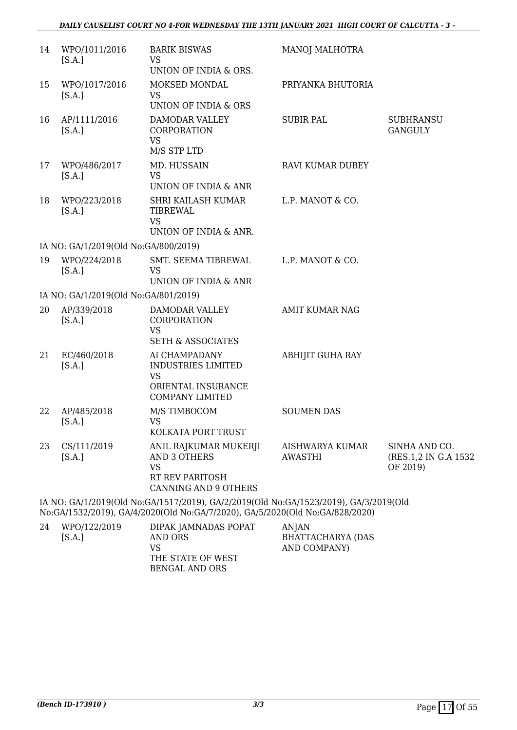| 14 | WPO/1011/2016<br>[S.A.]              | <b>BARIK BISWAS</b><br><b>VS</b>                                                                        | MANOJ MALHOTRA                    |                                                   |
|----|--------------------------------------|---------------------------------------------------------------------------------------------------------|-----------------------------------|---------------------------------------------------|
|    |                                      | UNION OF INDIA & ORS.                                                                                   |                                   |                                                   |
| 15 | WPO/1017/2016<br>[S.A.]              | MOKSED MONDAL<br><b>VS</b><br>UNION OF INDIA & ORS                                                      | PRIYANKA BHUTORIA                 |                                                   |
| 16 | AP/1111/2016<br>[S.A.]               | DAMODAR VALLEY<br>CORPORATION<br><b>VS</b><br>M/S STP LTD                                               | <b>SUBIR PAL</b>                  | <b>SUBHRANSU</b><br><b>GANGULY</b>                |
| 17 | WPO/486/2017<br>[S.A.]               | MD. HUSSAIN<br><b>VS</b><br>UNION OF INDIA & ANR                                                        | RAVI KUMAR DUBEY                  |                                                   |
| 18 | WPO/223/2018<br>[S.A.]               | SHRI KAILASH KUMAR<br><b>TIBREWAL</b><br><b>VS</b>                                                      | L.P. MANOT & CO.                  |                                                   |
|    |                                      | UNION OF INDIA & ANR.                                                                                   |                                   |                                                   |
|    | IA NO: GA/1/2019(Old No:GA/800/2019) |                                                                                                         |                                   |                                                   |
| 19 | WPO/224/2018<br>[S.A.]               | SMT. SEEMA TIBREWAL<br><b>VS</b><br>UNION OF INDIA & ANR                                                | L.P. MANOT & CO.                  |                                                   |
|    | IA NO: GA/1/2019(Old No:GA/801/2019) |                                                                                                         |                                   |                                                   |
| 20 | AP/339/2018<br>[S.A.]                | DAMODAR VALLEY<br>CORPORATION<br><b>VS</b><br><b>SETH &amp; ASSOCIATES</b>                              | <b>AMIT KUMAR NAG</b>             |                                                   |
| 21 | EC/460/2018<br>[S.A.]                | AI CHAMPADANY<br><b>INDUSTRIES LIMITED</b><br><b>VS</b><br>ORIENTAL INSURANCE<br><b>COMPANY LIMITED</b> | <b>ABHIJIT GUHA RAY</b>           |                                                   |
| 22 | AP/485/2018<br>[S.A.]                | M/S TIMBOCOM<br><b>VS</b><br>KOLKATA PORT TRUST                                                         | <b>SOUMEN DAS</b>                 |                                                   |
| 23 | CS/111/2019<br>[S.A.]                | ANIL RAJKUMAR MUKERJI<br><b>AND 3 OTHERS</b><br><b>VS</b><br>RT REV PARITOSH<br>CANNING AND 9 OTHERS    | AISHWARYA KUMAR<br><b>AWASTHI</b> | SINHA AND CO.<br>(RES.1,2 IN G.A 1532<br>OF 2019) |
|    |                                      | IA NO: GA/1/2019(Old No:GA/1517/2019), GA/2/2019(Old No:GA/1523/2019), GA/3/2019(Old                    |                                   |                                                   |

No:GA/1532/2019), GA/4/2020(Old No:GA/7/2020), GA/5/2020(Old No:GA/828/2020)

| 24 | WPO/122/2019 | DIPAK JAMNADAS POPAT | ANIAN             |
|----|--------------|----------------------|-------------------|
|    | [S.A.]       | AND ORS              | BHATTACHARYA (DAS |
|    |              | VS                   | AND COMPANY)      |
|    |              | THE STATE OF WEST    |                   |
|    |              | BENGAL AND ORS       |                   |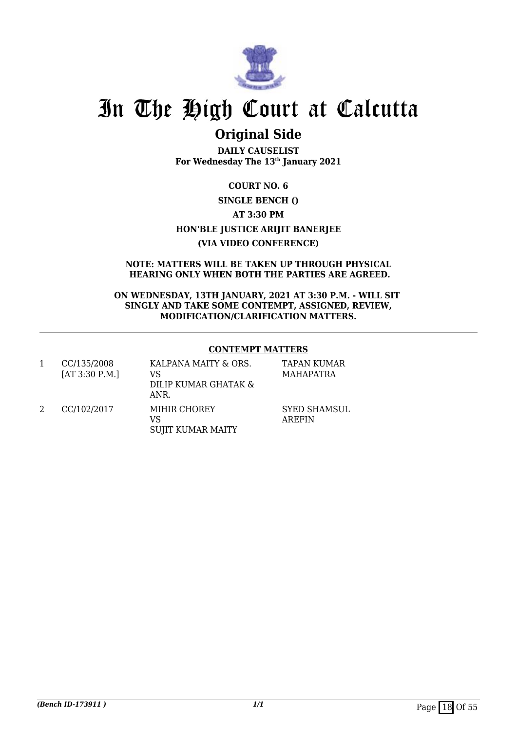

# **Original Side**

**DAILY CAUSELIST For Wednesday The 13th January 2021**

**COURT NO. 6 SINGLE BENCH () AT 3:30 PM HON'BLE JUSTICE ARIJIT BANERJEE (VIA VIDEO CONFERENCE)**

**NOTE: MATTERS WILL BE TAKEN UP THROUGH PHYSICAL HEARING ONLY WHEN BOTH THE PARTIES ARE AGREED.**

**ON WEDNESDAY, 13TH JANUARY, 2021 AT 3:30 P.M. - WILL SIT SINGLY AND TAKE SOME CONTEMPT, ASSIGNED, REVIEW, MODIFICATION/CLARIFICATION MATTERS.**

### **CONTEMPT MATTERS**

1 CC/135/2008 [AT 3:30 P.M.] KALPANA MAITY & ORS. VS DILIP KUMAR GHATAK & ANR. TAPAN KUMAR MAHAPATRA 2 CC/102/2017 MIHIR CHOREY VS SUJIT KUMAR MAITY SYED SHAMSUL AREFIN

*(Bench ID-173911)* 1/1 Page 18 Of 55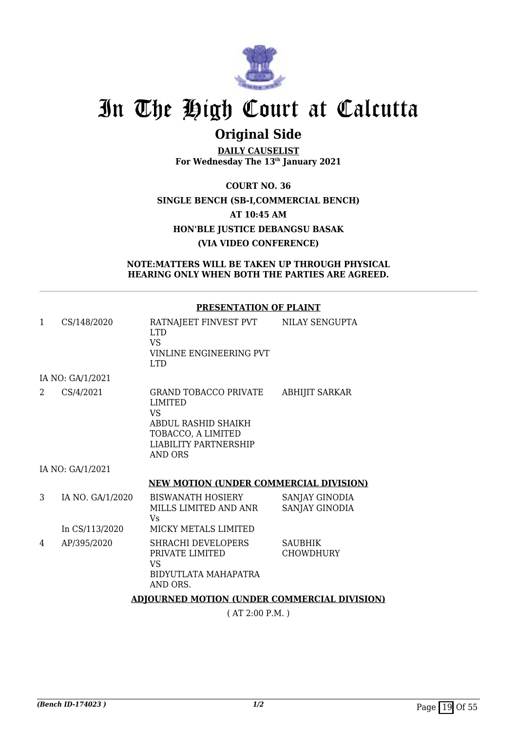

# **Original Side**

**DAILY CAUSELIST For Wednesday The 13th January 2021**

**COURT NO. 36 SINGLE BENCH (SB-I,COMMERCIAL BENCH) AT 10:45 AM HON'BLE JUSTICE DEBANGSU BASAK (VIA VIDEO CONFERENCE)**

**NOTE:MATTERS WILL BE TAKEN UP THROUGH PHYSICAL HEARING ONLY WHEN BOTH THE PARTIES ARE AGREED.**

### **PRESENTATION OF PLAINT**

| 1                           | CS/148/2020      | RATNAJEET FINVEST PVT<br>LTD.<br><b>VS</b><br>VINLINE ENGINEERING PVT<br><b>LTD</b>                                                                        | NILAY SENGUPTA                   |
|-----------------------------|------------------|------------------------------------------------------------------------------------------------------------------------------------------------------------|----------------------------------|
|                             | IA NO: GA/1/2021 |                                                                                                                                                            |                                  |
| $\mathcal{D}_{\mathcal{L}}$ | CS/4/2021        | <b>GRAND TOBACCO PRIVATE</b><br><b>LIMITED</b><br><b>VS</b><br>ABDUL RASHID SHAIKH<br>TOBACCO, A LIMITED<br><b>LIABILITY PARTNERSHIP</b><br><b>AND ORS</b> | <b>ABHIJIT SARKAR</b>            |
|                             | IA NO: GA/1/2021 |                                                                                                                                                            |                                  |
|                             |                  | <b>NEW MOTION (UNDER COMMERCIAL DIVISION)</b>                                                                                                              |                                  |
| 3                           | IA NO. GA/1/2020 | <b>BISWANATH HOSIERY</b><br>MILLS LIMITED AND ANR<br>Vs                                                                                                    | SANJAY GINODIA<br>SANJAY GINODIA |
|                             | In CS/113/2020   | MICKY METALS LIMITED                                                                                                                                       |                                  |
| 4                           | AP/395/2020      | <b>SHRACHI DEVELOPERS</b><br>PRIVATE LIMITED                                                                                                               | <b>SAUBHIK</b><br>CHOWDHURY      |

BIDYUTLATA MAHAPATRA

VS

AND ORS.

#### **ADJOURNED MOTION (UNDER COMMERCIAL DIVISION)**

( AT 2:00 P.M. )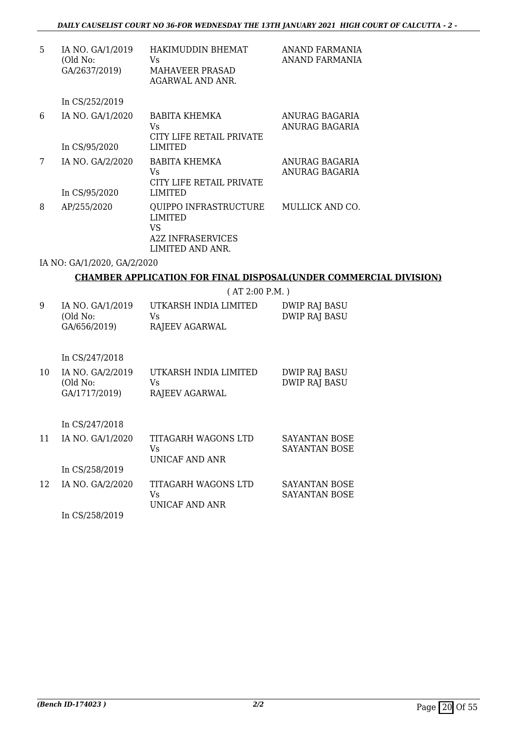| 5 | IA NO. GA/1/2019<br>(Old No:<br>GA/2637/2019) | HAKIMUDDIN BHEMAT<br>Vs<br><b>MAHAVEER PRASAD</b><br>AGARWAL AND ANR.                                | ANAND FARMANIA<br>ANAND FARMANIA |
|---|-----------------------------------------------|------------------------------------------------------------------------------------------------------|----------------------------------|
|   | In CS/252/2019                                |                                                                                                      |                                  |
| 6 | IA NO. GA/1/2020<br>In CS/95/2020             | BABITA KHEMKA<br>Vs<br>CITY LIFE RETAIL PRIVATE<br><b>LIMITED</b>                                    | ANURAG BAGARIA<br>ANURAG BAGARIA |
| 7 | IA NO. GA/2/2020<br>In CS/95/2020             | <b>BABITA KHEMKA</b><br>Vs<br>CITY LIFE RETAIL PRIVATE<br><b>LIMITED</b>                             | ANURAG BAGARIA<br>ANURAG BAGARIA |
| 8 | AP/255/2020                                   | <b>QUIPPO INFRASTRUCTURE</b><br><b>LIMITED</b><br>VS<br><b>A2Z INFRASERVICES</b><br>LIMITED AND ANR. | MULLICK AND CO.                  |

### IA NO: GA/1/2020, GA/2/2020

### **CHAMBER APPLICATION FOR FINAL DISPOSAL(UNDER COMMERCIAL DIVISION)**

( AT 2:00 P.M. )

| 9 | IA NO. GA/1/2019 | UTKARSH INDIA LIMITED | DWIP RAJ BASU |
|---|------------------|-----------------------|---------------|
|   | (Old No:         | Vs.                   | DWIP RAJ BASU |
|   | GA/656/2019)     | RAJEEV AGARWAL        |               |

In CS/247/2018

| 10 | IA NO. GA/2/2019 | UTKARSH INDIA LIMITED | DWIP RAJ BASU |
|----|------------------|-----------------------|---------------|
|    | (Old No:         | Vs.                   | DWIP RAJ BASU |
|    | GA/1717/2019)    | RAJEEV AGARWAL        |               |

In CS/247/2018

| 11 | IA NO. GA/1/2020                                          | TITAGARH WAGONS LTD<br>Vs<br>UNICAF AND ANR | SAYANTAN BOSE<br>SAYANTAN BOSE |
|----|-----------------------------------------------------------|---------------------------------------------|--------------------------------|
|    | In CS/258/2019                                            |                                             |                                |
| 12 | IA NO. GA/2/2020                                          | TITAGARH WAGONS LTD<br>Vs<br>UNICAF AND ANR | SAYANTAN BOSE<br>SAYANTAN BOSE |
|    | $\mathbf{r}$ $\alpha$ $\alpha$ $\alpha$ $\alpha$ $\alpha$ |                                             |                                |

In CS/258/2019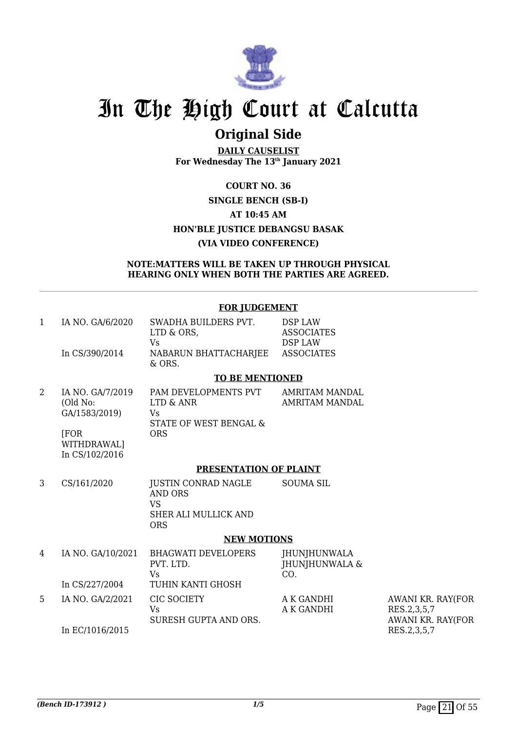

# **Original Side**

**DAILY CAUSELIST For Wednesday The 13th January 2021**

## **COURT NO. 36 SINGLE BENCH (SB-I) AT 10:45 AM HON'BLE JUSTICE DEBANGSU BASAK (VIA VIDEO CONFERENCE)**

#### **NOTE:MATTERS WILL BE TAKEN UP THROUGH PHYSICAL HEARING ONLY WHEN BOTH THE PARTIES ARE AGREED.**

|              |                                                              | <b>FOR JUDGEMENT</b>                                                                            |                                                                            |                                                       |
|--------------|--------------------------------------------------------------|-------------------------------------------------------------------------------------------------|----------------------------------------------------------------------------|-------------------------------------------------------|
| $\mathbf{1}$ | IA NO. GA/6/2020<br>In CS/390/2014                           | SWADHA BUILDERS PVT.<br>LTD & ORS,<br><b>Vs</b><br>NABARUN BHATTACHARJEE                        | <b>DSP LAW</b><br><b>ASSOCIATES</b><br><b>DSP LAW</b><br><b>ASSOCIATES</b> |                                                       |
|              |                                                              | & ORS.                                                                                          |                                                                            |                                                       |
|              |                                                              | <b>TO BE MENTIONED</b>                                                                          |                                                                            |                                                       |
| 2            | IA NO. GA/7/2019<br>(Old No:<br>GA/1583/2019)<br><b>[FOR</b> | PAM DEVELOPMENTS PVT<br>LTD & ANR<br>Vs<br>STATE OF WEST BENGAL &<br><b>ORS</b>                 | AMRITAM MANDAL<br><b>AMRITAM MANDAL</b>                                    |                                                       |
|              | WITHDRAWAL]<br>In CS/102/2016                                |                                                                                                 |                                                                            |                                                       |
|              |                                                              | PRESENTATION OF PLAINT                                                                          |                                                                            |                                                       |
| 3            | CS/161/2020                                                  | <b>JUSTIN CONRAD NAGLE</b><br><b>AND ORS</b><br><b>VS</b><br>SHER ALI MULLICK AND<br><b>ORS</b> | <b>SOUMA SIL</b>                                                           |                                                       |
|              |                                                              | <b>NEW MOTIONS</b>                                                                              |                                                                            |                                                       |
| 4            | IA NO. GA/10/2021                                            | <b>BHAGWATI DEVELOPERS</b><br>PVT. LTD.<br><b>Vs</b>                                            | <b>JHUNJHUNWALA</b><br><b>JHUNJHUNWALA &amp;</b><br>CO.                    |                                                       |
|              | In CS/227/2004                                               | TUHIN KANTI GHOSH                                                                               |                                                                            |                                                       |
| 5            | IA NO. GA/2/2021                                             | CIC SOCIETY<br>Vs<br>SURESH GUPTA AND ORS.                                                      | A K GANDHI<br>A K GANDHI                                                   | AWANI KR. RAY(FOR<br>RES.2,3,5,7<br>AWANI KR. RAY(FOR |
|              | In EC/1016/2015                                              |                                                                                                 |                                                                            | RES.2,3,5,7                                           |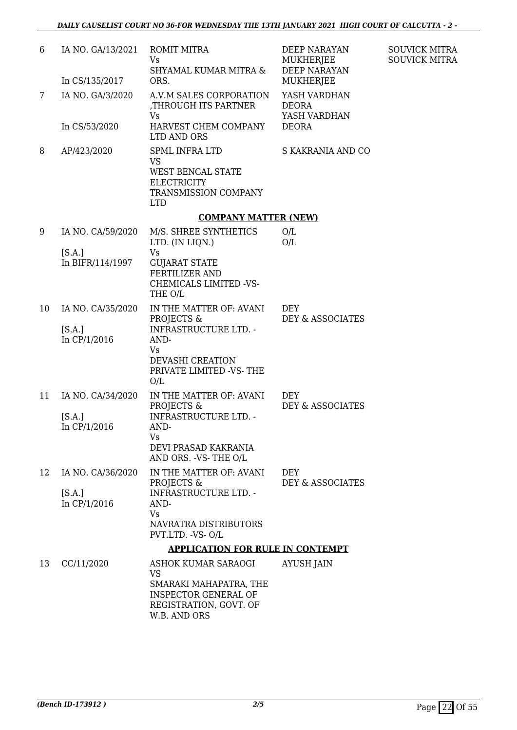| 6  | IA NO. GA/13/2021                           | ROMIT MITRA<br>Vs                                                                                                          | DEEP NARAYAN<br>MUKHERJEE                    | <b>SOUVICK MITRA</b><br><b>SOUVICK MITRA</b> |
|----|---------------------------------------------|----------------------------------------------------------------------------------------------------------------------------|----------------------------------------------|----------------------------------------------|
|    | In CS/135/2017                              | SHYAMAL KUMAR MITRA &<br>ORS.                                                                                              | <b>DEEP NARAYAN</b><br>MUKHERJEE             |                                              |
| 7  | IA NO. GA/3/2020                            | A.V.M SALES CORPORATION<br>THROUGH ITS PARTNER,<br>Vs                                                                      | YASH VARDHAN<br><b>DEORA</b><br>YASH VARDHAN |                                              |
|    | In CS/53/2020                               | HARVEST CHEM COMPANY<br>LTD AND ORS                                                                                        | <b>DEORA</b>                                 |                                              |
| 8  | AP/423/2020                                 | <b>SPML INFRA LTD</b><br><b>VS</b><br><b>WEST BENGAL STATE</b><br><b>ELECTRICITY</b><br>TRANSMISSION COMPANY<br><b>LTD</b> | S KAKRANIA AND CO                            |                                              |
|    |                                             | <b>COMPANY MATTER (NEW)</b>                                                                                                |                                              |                                              |
| 9  | IA NO. CA/59/2020                           | M/S. SHREE SYNTHETICS<br>LTD. (IN LIQN.)                                                                                   | O/L<br>O/L                                   |                                              |
|    | [S.A.]<br>In BIFR/114/1997                  | Vs<br><b>GUJARAT STATE</b><br><b>FERTILIZER AND</b><br>CHEMICALS LIMITED -VS-<br>THE O/L                                   |                                              |                                              |
| 10 | IA NO. CA/35/2020                           | IN THE MATTER OF: AVANI<br>PROJECTS &                                                                                      | <b>DEY</b><br>DEY & ASSOCIATES               |                                              |
|    | [S.A.]<br>In CP/1/2016                      | <b>INFRASTRUCTURE LTD. -</b><br>AND-<br>Vs<br>DEVASHI CREATION<br>PRIVATE LIMITED -VS-THE<br>O/L                           |                                              |                                              |
| 11 | IA NO. CA/34/2020<br>[S.A.]<br>In CP/1/2016 | IN THE MATTER OF: AVANI<br>PROJECTS &<br><b>INFRASTRUCTURE LTD. -</b><br>AND-                                              | <b>DEY</b><br>DEY & ASSOCIATES               |                                              |
|    |                                             | Vs<br>DEVI PRASAD KAKRANIA<br>AND ORS. - VS- THE O/L                                                                       |                                              |                                              |
| 12 | IA NO. CA/36/2020                           | IN THE MATTER OF: AVANI<br>PROJECTS &                                                                                      | <b>DEY</b><br>DEY & ASSOCIATES               |                                              |
|    | [S.A.]<br>In CP/1/2016                      | <b>INFRASTRUCTURE LTD. -</b><br>AND-<br>Vs                                                                                 |                                              |                                              |
|    |                                             | NAVRATRA DISTRIBUTORS<br>PVT.LTD. - VS- O/L                                                                                |                                              |                                              |
|    |                                             | <b>APPLICATION FOR RULE IN CONTEMPT</b>                                                                                    |                                              |                                              |
| 13 | CC/11/2020                                  | ASHOK KUMAR SARAOGI<br>VS                                                                                                  | <b>AYUSH JAIN</b>                            |                                              |
|    |                                             | SMARAKI MAHAPATRA, THE<br><b>INSPECTOR GENERAL OF</b><br>REGISTRATION, GOVT. OF<br>W.B. AND ORS                            |                                              |                                              |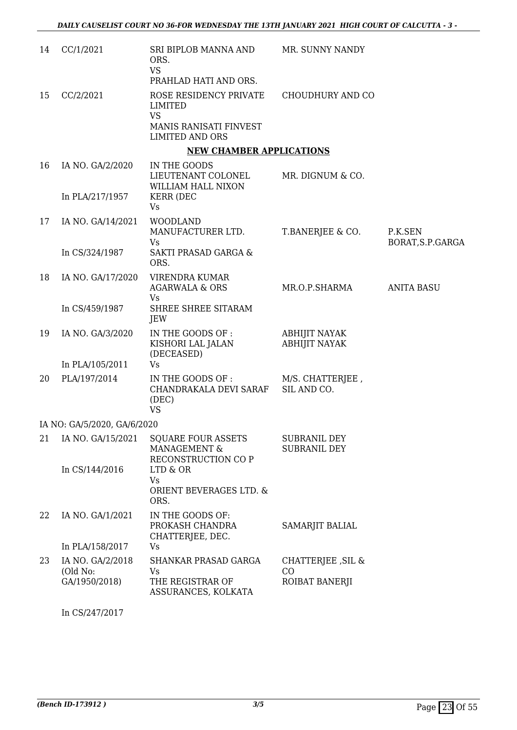| 14 | CC/1/2021                                     | SRI BIPLOB MANNA AND<br>ORS.<br><b>VS</b><br>PRAHLAD HATI AND ORS.                                 | MR. SUNNY NANDY                              |                              |
|----|-----------------------------------------------|----------------------------------------------------------------------------------------------------|----------------------------------------------|------------------------------|
| 15 | CC/2/2021                                     | ROSE RESIDENCY PRIVATE<br>LIMITED<br><b>VS</b><br>MANIS RANISATI FINVEST<br><b>LIMITED AND ORS</b> | CHOUDHURY AND CO                             |                              |
|    |                                               | <b>NEW CHAMBER APPLICATIONS</b>                                                                    |                                              |                              |
| 16 | IA NO. GA/2/2020                              | IN THE GOODS<br>LIEUTENANT COLONEL<br>WILLIAM HALL NIXON                                           | MR. DIGNUM & CO.                             |                              |
|    | In PLA/217/1957                               | <b>KERR (DEC</b><br>Vs                                                                             |                                              |                              |
| 17 | IA NO. GA/14/2021                             | <b>WOODLAND</b><br>MANUFACTURER LTD.<br>Vs                                                         | T.BANERJEE & CO.                             | P.K.SEN<br>BORAT, S.P. GARGA |
|    | In CS/324/1987                                | SAKTI PRASAD GARGA &<br>ORS.                                                                       |                                              |                              |
| 18 | IA NO. GA/17/2020                             | VIRENDRA KUMAR<br><b>AGARWALA &amp; ORS</b><br>Vs                                                  | MR.O.P.SHARMA                                | <b>ANITA BASU</b>            |
|    | In CS/459/1987                                | SHREE SHREE SITARAM<br>JEW                                                                         |                                              |                              |
| 19 | IA NO. GA/3/2020                              | IN THE GOODS OF :<br>KISHORI LAL JALAN<br>(DECEASED)                                               | <b>ABHIJIT NAYAK</b><br><b>ABHIJIT NAYAK</b> |                              |
|    | In PLA/105/2011                               | Vs                                                                                                 |                                              |                              |
| 20 | PLA/197/2014                                  | IN THE GOODS OF :<br>CHANDRAKALA DEVI SARAF<br>(DEC)<br><b>VS</b>                                  | M/S. CHATTERJEE,<br>SIL AND CO.              |                              |
|    | IA NO: GA/5/2020, GA/6/2020                   |                                                                                                    |                                              |                              |
| 21 | IA NO. GA/15/2021<br>In CS/144/2016           | <b>SQUARE FOUR ASSETS</b><br>MANAGEMENT &<br>RECONSTRUCTION CO P<br>LTD & OR                       | <b>SUBRANIL DEY</b><br><b>SUBRANIL DEY</b>   |                              |
|    |                                               | Vs<br>ORIENT BEVERAGES LTD. &<br>ORS.                                                              |                                              |                              |
| 22 | IA NO. GA/1/2021                              | IN THE GOODS OF:<br>PROKASH CHANDRA<br>CHATTERJEE, DEC.                                            | SAMARJIT BALIAL                              |                              |
|    | In PLA/158/2017                               | Vs                                                                                                 |                                              |                              |
| 23 | IA NO. GA/2/2018<br>(Old No:<br>GA/1950/2018) | SHANKAR PRASAD GARGA<br><b>Vs</b><br>THE REGISTRAR OF<br>ASSURANCES, KOLKATA                       | CHATTERJEE , SIL &<br>CO<br>ROIBAT BANERJI   |                              |
|    |                                               |                                                                                                    |                                              |                              |

In CS/247/2017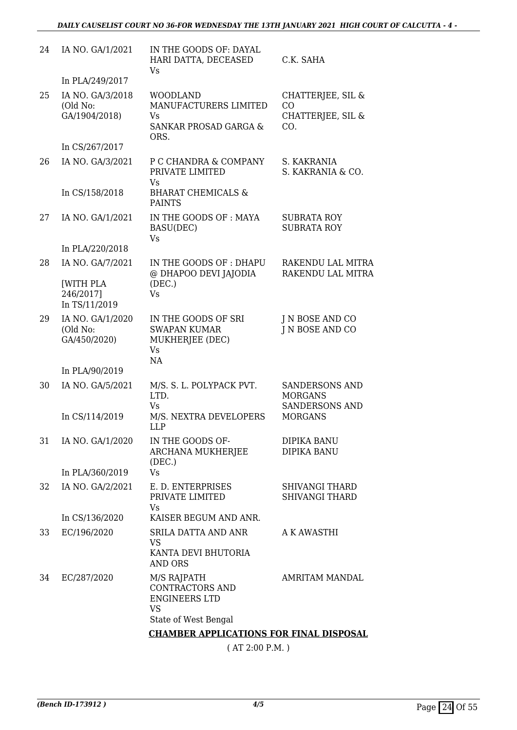| 24 | IA NO. GA/1/2021                               | IN THE GOODS OF: DAYAL<br>HARI DATTA, DECEASED<br>Vs                               | C.K. SAHA                                                        |
|----|------------------------------------------------|------------------------------------------------------------------------------------|------------------------------------------------------------------|
|    | In PLA/249/2017                                |                                                                                    |                                                                  |
| 25 | IA NO. GA/3/2018<br>(Old No:<br>GA/1904/2018)  | <b>WOODLAND</b><br>MANUFACTURERS LIMITED<br>Vs<br><b>SANKAR PROSAD GARGA &amp;</b> | CHATTERJEE, SIL &<br>CO<br>CHATTERJEE, SIL &<br>CO.              |
|    | In CS/267/2017                                 | ORS.                                                                               |                                                                  |
| 26 | IA NO. GA/3/2021                               | P C CHANDRA & COMPANY<br>PRIVATE LIMITED<br>Vs                                     | S. KAKRANIA<br>S. KAKRANIA & CO.                                 |
|    | In CS/158/2018                                 | <b>BHARAT CHEMICALS &amp;</b><br><b>PAINTS</b>                                     |                                                                  |
| 27 | IA NO. GA/1/2021                               | IN THE GOODS OF : MAYA<br>BASU(DEC)<br><b>Vs</b>                                   | <b>SUBRATA ROY</b><br><b>SUBRATA ROY</b>                         |
|    | In PLA/220/2018                                |                                                                                    |                                                                  |
| 28 | IA NO. GA/7/2021                               | IN THE GOODS OF: DHAPU<br>@ DHAPOO DEVI JAJODIA                                    | RAKENDU LAL MITRA<br>RAKENDU LAL MITRA                           |
|    | <b>[WITH PLA</b><br>246/2017]<br>In TS/11/2019 | (DEC.)<br>Vs                                                                       |                                                                  |
| 29 | IA NO. GA/1/2020<br>(Old No:<br>GA/450/2020)   | IN THE GOODS OF SRI<br><b>SWAPAN KUMAR</b><br>MUKHERJEE (DEC)<br><b>Vs</b><br>NA   | J N BOSE AND CO<br>J N BOSE AND CO                               |
|    | In PLA/90/2019                                 |                                                                                    |                                                                  |
| 30 | IA NO. GA/5/2021                               | M/S. S. L. POLYPACK PVT.<br>LTD.<br>Vs                                             | <b>SANDERSONS AND</b><br><b>MORGANS</b><br><b>SANDERSONS AND</b> |
|    | In CS/114/2019                                 | M/S. NEXTRA DEVELOPERS<br><b>LLP</b>                                               | <b>MORGANS</b>                                                   |
| 31 | IA NO. GA/1/2020                               | IN THE GOODS OF-<br>ARCHANA MUKHERJEE<br>(DEC.)                                    | DIPIKA BANU<br>DIPIKA BANU                                       |
|    | In PLA/360/2019                                | <b>Vs</b>                                                                          |                                                                  |
| 32 | IA NO. GA/2/2021                               | E. D. ENTERPRISES<br>PRIVATE LIMITED<br>Vs                                         | <b>SHIVANGI THARD</b><br><b>SHIVANGI THARD</b>                   |
|    | In CS/136/2020                                 | KAISER BEGUM AND ANR.                                                              |                                                                  |
| 33 | EC/196/2020                                    | SRILA DATTA AND ANR<br><b>VS</b>                                                   | A K AWASTHI                                                      |
|    |                                                | KANTA DEVI BHUTORIA<br><b>AND ORS</b>                                              |                                                                  |
| 34 | EC/287/2020                                    | M/S RAJPATH<br>CONTRACTORS AND<br><b>ENGINEERS LTD</b><br><b>VS</b>                | AMRITAM MANDAL                                                   |
|    |                                                | State of West Bengal                                                               |                                                                  |
|    |                                                | <b>CHAMBER APPLICATIONS FOR FINAL DISPOSAL</b>                                     |                                                                  |

( AT 2:00 P.M. )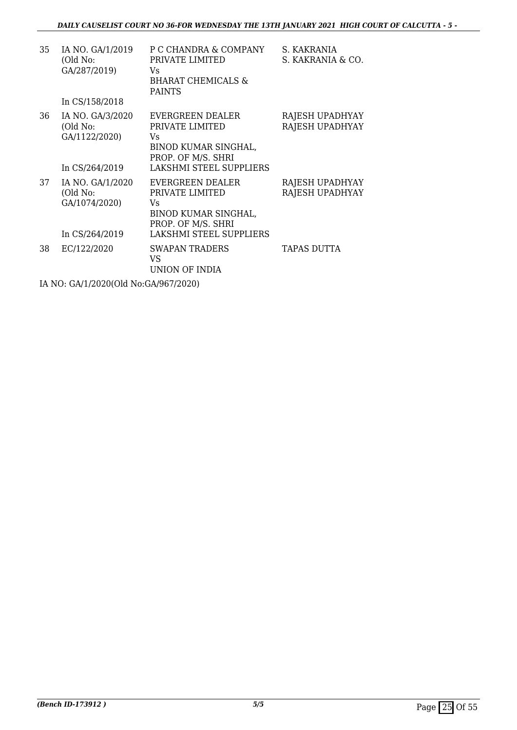| 35                                   | IA NO. GA/1/2019<br>(Old No:<br>GA/287/2019)<br>In CS/158/2018  | P C CHANDRA & COMPANY<br>PRIVATE LIMITED<br>Vs<br><b>BHARAT CHEMICALS &amp;</b><br><b>PAINTS</b>                   | S. KAKRANIA<br>S. KAKRANIA & CO.   |  |  |
|--------------------------------------|-----------------------------------------------------------------|--------------------------------------------------------------------------------------------------------------------|------------------------------------|--|--|
| 36                                   | IA NO. GA/3/2020<br>(Old No:<br>GA/1122/2020)<br>In CS/264/2019 | EVERGREEN DEALER<br>PRIVATE LIMITED<br>Vs<br>BINOD KUMAR SINGHAL,<br>PROP. OF M/S. SHRI<br>LAKSHMI STEEL SUPPLIERS | RAJESH UPADHYAY<br>RAJESH UPADHYAY |  |  |
| 37                                   | IA NO. GA/1/2020<br>(Old No:<br>GA/1074/2020)<br>In CS/264/2019 | EVERGREEN DEALER<br>PRIVATE LIMITED<br>Vs<br>BINOD KUMAR SINGHAL,<br>PROP. OF M/S. SHRI<br>LAKSHMI STEEL SUPPLIERS | RAJESH UPADHYAY<br>RAJESH UPADHYAY |  |  |
| 38                                   | EC/122/2020                                                     | <b>SWAPAN TRADERS</b><br>VS<br>UNION OF INDIA                                                                      | <b>TAPAS DUTTA</b>                 |  |  |
| IA NO: GA/1/2020(Old No:GA/967/2020) |                                                                 |                                                                                                                    |                                    |  |  |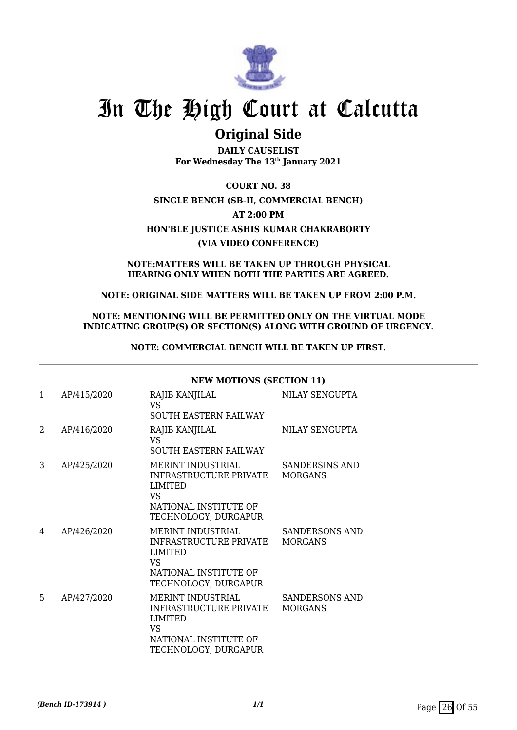

## **Original Side**

**DAILY CAUSELIST For Wednesday The 13th January 2021**

**COURT NO. 38 SINGLE BENCH (SB-II, COMMERCIAL BENCH) AT 2:00 PM HON'BLE JUSTICE ASHIS KUMAR CHAKRABORTY (VIA VIDEO CONFERENCE)**

### **NOTE:MATTERS WILL BE TAKEN UP THROUGH PHYSICAL HEARING ONLY WHEN BOTH THE PARTIES ARE AGREED.**

### **NOTE: ORIGINAL SIDE MATTERS WILL BE TAKEN UP FROM 2:00 P.M.**

### **NOTE: MENTIONING WILL BE PERMITTED ONLY ON THE VIRTUAL MODE INDICATING GROUP(S) OR SECTION(S) ALONG WITH GROUND OF URGENCY.**

**NOTE: COMMERCIAL BENCH WILL BE TAKEN UP FIRST.**

| $\mathbf{1}$ | AP/415/2020 | RAJIB KANJILAL<br><b>VS</b><br><b>SOUTH EASTERN RAILWAY</b>                                                                 | NILAY SENGUPTA                          |
|--------------|-------------|-----------------------------------------------------------------------------------------------------------------------------|-----------------------------------------|
| 2            | AP/416/2020 | RAJIB KANJILAL<br><b>VS</b><br><b>SOUTH EASTERN RAILWAY</b>                                                                 | NILAY SENGUPTA                          |
| 3            | AP/425/2020 | MERINT INDUSTRIAL<br>INFRASTRUCTURE PRIVATE<br><b>LIMITED</b><br>VS<br>NATIONAL INSTITUTE OF<br>TECHNOLOGY, DURGAPUR        | SANDERSINS AND<br><b>MORGANS</b>        |
| 4            | AP/426/2020 | <b>MERINT INDUSTRIAL</b><br>INFRASTRUCTURE PRIVATE<br><b>LIMITED</b><br>VS<br>NATIONAL INSTITUTE OF<br>TECHNOLOGY, DURGAPUR | <b>SANDERSONS AND</b><br><b>MORGANS</b> |
| 5            | AP/427/2020 | <b>MERINT INDUSTRIAL</b><br>INFRASTRUCTURE PRIVATE<br><b>LIMITED</b><br>VS<br>NATIONAL INSTITUTE OF<br>TECHNOLOGY, DURGAPUR | <b>SANDERSONS AND</b><br><b>MORGANS</b> |

### **NEW MOTIONS (SECTION 11)**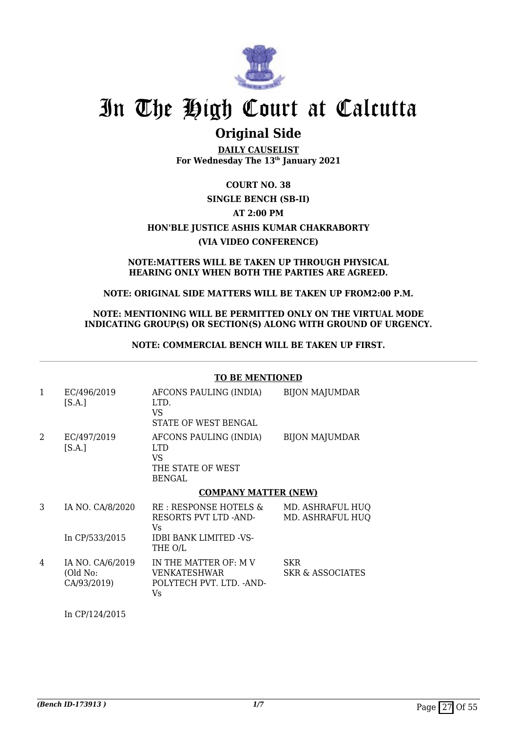

## **Original Side**

**DAILY CAUSELIST For Wednesday The 13th January 2021**

## **COURT NO. 38 SINGLE BENCH (SB-II) AT 2:00 PM HON'BLE JUSTICE ASHIS KUMAR CHAKRABORTY (VIA VIDEO CONFERENCE)**

#### **NOTE:MATTERS WILL BE TAKEN UP THROUGH PHYSICAL HEARING ONLY WHEN BOTH THE PARTIES ARE AGREED.**

### **NOTE: ORIGINAL SIDE MATTERS WILL BE TAKEN UP FROM2:00 P.M.**

### **NOTE: MENTIONING WILL BE PERMITTED ONLY ON THE VIRTUAL MODE INDICATING GROUP(S) OR SECTION(S) ALONG WITH GROUND OF URGENCY.**

**NOTE: COMMERCIAL BENCH WILL BE TAKEN UP FIRST.**

#### **TO BE MENTIONED**

| 1 | EC/496/2019<br>[S.A.]                  | AFCONS PAULING (INDIA)<br>LTD.<br>VS<br>STATE OF WEST BENGAL               | <b>BIJON MAJUMDAR</b>                |
|---|----------------------------------------|----------------------------------------------------------------------------|--------------------------------------|
| 2 | EC/497/2019<br>[S.A.]                  | AFCONS PAULING (INDIA)<br>LTD.<br>VS<br>THE STATE OF WEST<br><b>BENGAL</b> | <b>BIJON MAJUMDAR</b>                |
|   |                                        | <b>COMPANY MATTER (NEW)</b>                                                |                                      |
| 3 | IA NO. CA/8/2020                       | RE: RESPONSE HOTELS &<br>RESORTS PVT LTD -AND-<br>Vs                       | MD. ASHRAFUL HUQ<br>MD. ASHRAFUL HUQ |
|   | In CP/533/2015                         | <b>IDBI BANK LIMITED -VS-</b><br>THE O/L                                   |                                      |
| 4 | IA NO. CA/6/2019<br>$(0.11 \text{ N})$ | IN THE MATTER OF: M V<br>UENIZ ATECIHIJA D                                 | SKR<br>CIZO C ACCOOLATEC             |

(Old No: CA/93/2019) VENKATESHWAR POLYTECH PVT. LTD. -AND-Vs SKR & ASSOCIATES

In CP/124/2015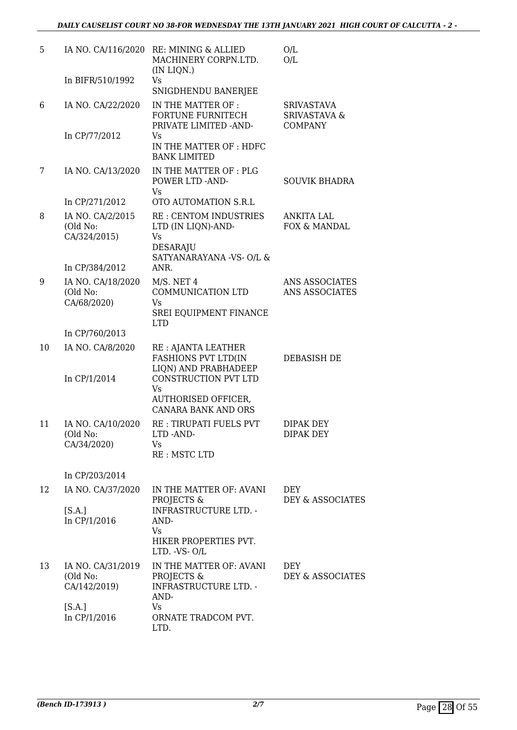| 5  |                                               | IA NO. CA/116/2020 RE: MINING & ALLIED<br>MACHINERY CORPN.LTD.<br>(IN LIQN.)                        | O/L<br>O/L                                                     |
|----|-----------------------------------------------|-----------------------------------------------------------------------------------------------------|----------------------------------------------------------------|
|    | In BIFR/510/1992                              | Vs<br>SNIGDHENDU BANERJEE                                                                           |                                                                |
| 6  | IA NO. CA/22/2020                             | IN THE MATTER OF :<br><b>FORTUNE FURNITECH</b><br>PRIVATE LIMITED - AND-                            | <b>SRIVASTAVA</b><br><b>SRIVASTAVA &amp;</b><br><b>COMPANY</b> |
|    | In CP/77/2012                                 | Vs<br>IN THE MATTER OF : HDFC<br><b>BANK LIMITED</b>                                                |                                                                |
| 7  | IA NO. CA/13/2020                             | IN THE MATTER OF : PLG<br>POWER LTD -AND-<br><b>Vs</b>                                              | <b>SOUVIK BHADRA</b>                                           |
|    | In CP/271/2012                                | OTO AUTOMATION S.R.L                                                                                |                                                                |
| 8  | IA NO. CA/2/2015<br>(Old No:<br>CA/324/2015)  | <b>RE: CENTOM INDUSTRIES</b><br>LTD (IN LIQN)-AND-<br><b>Vs</b><br>DESARAJU                         | <b>ANKITA LAL</b><br>FOX & MANDAL                              |
|    | In CP/384/2012                                | SATYANARAYANA -VS- O/L &<br>ANR.                                                                    |                                                                |
| 9  | IA NO. CA/18/2020                             | $M/S.$ NET 4                                                                                        | ANS ASSOCIATES                                                 |
|    | (Old No:                                      | COMMUNICATION LTD                                                                                   | ANS ASSOCIATES                                                 |
|    | CA/68/2020)                                   | Vs<br><b>SREI EQUIPMENT FINANCE</b><br><b>LTD</b>                                                   |                                                                |
|    | In CP/760/2013                                |                                                                                                     |                                                                |
| 10 | IA NO. CA/8/2020<br>In CP/1/2014              | RE : AJANTA LEATHER<br><b>FASHIONS PVT LTD(IN</b><br>LIQN) AND PRABHADEEP<br>CONSTRUCTION PVT LTD   | DEBASISH DE                                                    |
|    |                                               | <b>Vs</b><br>AUTHORISED OFFICER,<br><b>CANARA BANK AND ORS</b>                                      |                                                                |
| 11 | IA NO. CA/10/2020<br>(Old No:<br>CA/34/2020)  | RE: TIRUPATI FUELS PVT<br>LTD-AND-<br>Vs<br>RE: MSTC LTD                                            | <b>DIPAK DEY</b><br>DIPAK DEY                                  |
|    | In CP/203/2014                                |                                                                                                     |                                                                |
| 12 | IA NO. CA/37/2020                             | IN THE MATTER OF: AVANI                                                                             | DEY                                                            |
|    | [S.A.]<br>In CP/1/2016                        | PROJECTS &<br><b>INFRASTRUCTURE LTD. -</b><br>AND-<br>Vs.<br>HIKER PROPERTIES PVT.<br>LTD. - VS-O/L | DEY & ASSOCIATES                                               |
| 13 | IA NO. CA/31/2019<br>(Old No:<br>CA/142/2019) | IN THE MATTER OF: AVANI<br>PROJECTS &<br><b>INFRASTRUCTURE LTD. -</b><br>AND-                       | <b>DEY</b><br>DEY & ASSOCIATES                                 |
|    | [S.A.]<br>In CP/1/2016                        | Vs.<br>ORNATE TRADCOM PVT.<br>LTD.                                                                  |                                                                |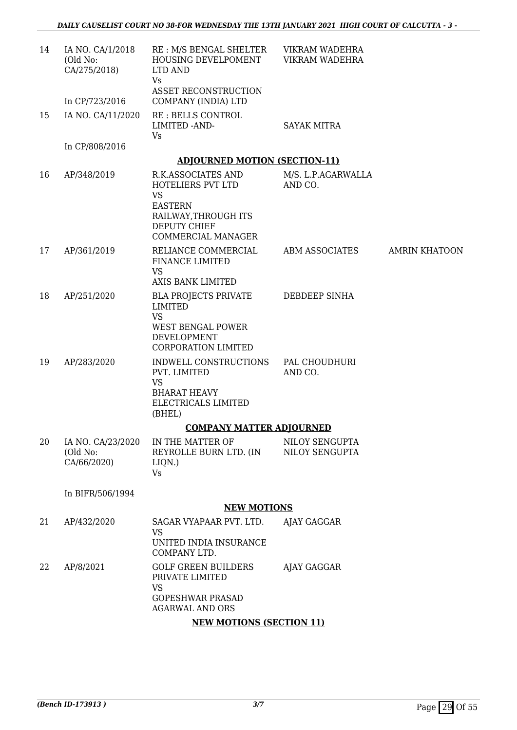| 14 | IA NO. CA/1/2018<br>(Old No:<br>CA/275/2018) | RE : M/S BENGAL SHELTER<br>HOUSING DEVELPOMENT<br>LTD AND<br><b>Vs</b><br><b>ASSET RECONSTRUCTION</b>                                       | VIKRAM WADEHRA<br>VIKRAM WADEHRA |                      |  |  |
|----|----------------------------------------------|---------------------------------------------------------------------------------------------------------------------------------------------|----------------------------------|----------------------|--|--|
|    | In CP/723/2016                               | COMPANY (INDIA) LTD                                                                                                                         |                                  |                      |  |  |
| 15 | IA NO. CA/11/2020                            | <b>RE: BELLS CONTROL</b><br>LIMITED -AND-<br>Vs                                                                                             | <b>SAYAK MITRA</b>               |                      |  |  |
|    | In CP/808/2016                               |                                                                                                                                             |                                  |                      |  |  |
|    |                                              | <b>ADJOURNED MOTION (SECTION-11)</b>                                                                                                        |                                  |                      |  |  |
| 16 | AP/348/2019                                  | R.K.ASSOCIATES AND<br>HOTELIERS PVT LTD<br><b>VS</b><br><b>EASTERN</b><br>RAILWAY, THROUGH ITS<br><b>DEPUTY CHIEF</b><br>COMMERCIAL MANAGER | M/S. L.P.AGARWALLA<br>AND CO.    |                      |  |  |
| 17 | AP/361/2019                                  | RELIANCE COMMERCIAL<br><b>FINANCE LIMITED</b><br><b>VS</b>                                                                                  | ABM ASSOCIATES                   | <b>AMRIN KHATOON</b> |  |  |
|    |                                              | <b>AXIS BANK LIMITED</b>                                                                                                                    |                                  |                      |  |  |
| 18 | AP/251/2020                                  | <b>BLA PROJECTS PRIVATE</b><br><b>LIMITED</b><br><b>VS</b><br><b>WEST BENGAL POWER</b><br>DEVELOPMENT<br><b>CORPORATION LIMITED</b>         | DEBDEEP SINHA                    |                      |  |  |
| 19 | AP/283/2020                                  | INDWELL CONSTRUCTIONS<br>PVT. LIMITED                                                                                                       | PAL CHOUDHURI<br>AND CO.         |                      |  |  |
|    |                                              | <b>VS</b><br><b>BHARAT HEAVY</b><br>ELECTRICALS LIMITED<br>(BHEL)                                                                           |                                  |                      |  |  |
|    |                                              | <b>COMPANY MATTER ADJOURNED</b>                                                                                                             |                                  |                      |  |  |
| 20 | IA NO. CA/23/2020<br>(Old No:<br>CA/66/2020) | IN THE MATTER OF<br>REYROLLE BURN LTD. (IN<br>LIQN.)<br><b>Vs</b>                                                                           | NILOY SENGUPTA<br>NILOY SENGUPTA |                      |  |  |
|    | In BIFR/506/1994                             |                                                                                                                                             |                                  |                      |  |  |
|    |                                              | <b>NEW MOTIONS</b>                                                                                                                          |                                  |                      |  |  |
| 21 | AP/432/2020                                  | SAGAR VYAPAAR PVT. LTD.<br><b>VS</b><br>UNITED INDIA INSURANCE<br>COMPANY LTD.                                                              | AJAY GAGGAR                      |                      |  |  |
| 22 | AP/8/2021                                    | <b>GOLF GREEN BUILDERS</b><br>PRIVATE LIMITED<br><b>VS</b><br><b>GOPESHWAR PRASAD</b><br><b>AGARWAL AND ORS</b>                             | AJAY GAGGAR                      |                      |  |  |
|    | <b>NEW MOTIONS (SECTION 11)</b>              |                                                                                                                                             |                                  |                      |  |  |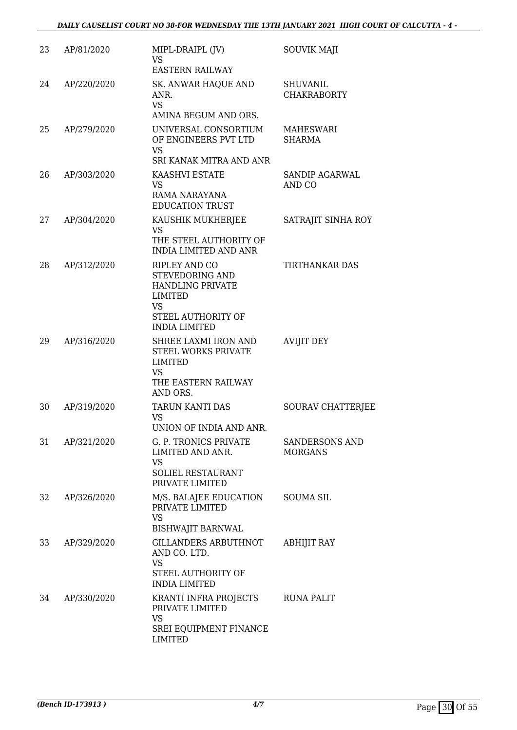| 23 | AP/81/2020  | MIPL-DRAIPL (JV)<br><b>VS</b><br><b>EASTERN RAILWAY</b>                                                                                  | <b>SOUVIK MAJI</b>                    |
|----|-------------|------------------------------------------------------------------------------------------------------------------------------------------|---------------------------------------|
| 24 | AP/220/2020 | SK. ANWAR HAQUE AND<br>ANR.<br><b>VS</b><br>AMINA BEGUM AND ORS.                                                                         | <b>SHUVANIL</b><br><b>CHAKRABORTY</b> |
| 25 | AP/279/2020 | UNIVERSAL CONSORTIUM<br>OF ENGINEERS PVT LTD<br><b>VS</b><br>SRI KANAK MITRA AND ANR                                                     | <b>MAHESWARI</b><br><b>SHARMA</b>     |
| 26 | AP/303/2020 | KAASHVI ESTATE<br><b>VS</b><br>RAMA NARAYANA<br><b>EDUCATION TRUST</b>                                                                   | SANDIP AGARWAL<br>AND CO              |
| 27 | AP/304/2020 | KAUSHIK MUKHERJEE<br><b>VS</b><br>THE STEEL AUTHORITY OF<br><b>INDIA LIMITED AND ANR</b>                                                 | SATRAJIT SINHA ROY                    |
| 28 | AP/312/2020 | RIPLEY AND CO<br><b>STEVEDORING AND</b><br><b>HANDLING PRIVATE</b><br>LIMITED<br><b>VS</b><br>STEEL AUTHORITY OF<br><b>INDIA LIMITED</b> | TIRTHANKAR DAS                        |
| 29 | AP/316/2020 | SHREE LAXMI IRON AND<br>STEEL WORKS PRIVATE<br><b>LIMITED</b><br><b>VS</b><br>THE EASTERN RAILWAY<br>AND ORS.                            | <b>AVIJIT DEY</b>                     |
| 30 | AP/319/2020 | TARUN KANTI DAS<br><b>VS</b><br>UNION OF INDIA AND ANR.                                                                                  | SOURAV CHATTERJEE                     |
| 31 | AP/321/2020 | G. P. TRONICS PRIVATE<br>LIMITED AND ANR.<br>VS<br>SOLIEL RESTAURANT<br>PRIVATE LIMITED                                                  | SANDERSONS AND<br><b>MORGANS</b>      |
| 32 | AP/326/2020 | M/S. BALAJEE EDUCATION<br>PRIVATE LIMITED<br><b>VS</b><br><b>BISHWAJIT BARNWAL</b>                                                       | <b>SOUMA SIL</b>                      |
| 33 | AP/329/2020 | <b>GILLANDERS ARBUTHNOT</b><br>AND CO. LTD.<br><b>VS</b><br>STEEL AUTHORITY OF<br><b>INDIA LIMITED</b>                                   | <b>ABHIJIT RAY</b>                    |
| 34 | AP/330/2020 | KRANTI INFRA PROJECTS<br>PRIVATE LIMITED<br><b>VS</b><br>SREI EQUIPMENT FINANCE<br><b>LIMITED</b>                                        | <b>RUNA PALIT</b>                     |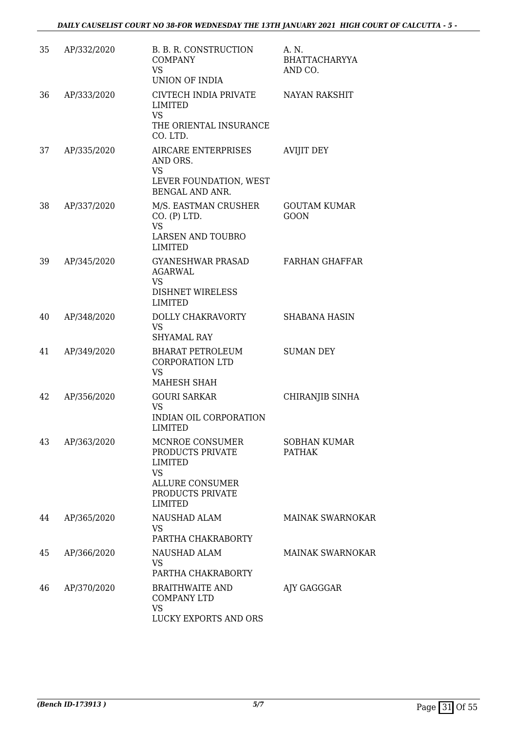*DAILY CAUSELIST COURT NO 38-FOR WEDNESDAY THE 13TH JANUARY 2021 HIGH COURT OF CALCUTTA - 5 -* 

| 35 | AP/332/2020 | B. B. R. CONSTRUCTION<br><b>COMPANY</b><br><b>VS</b><br>UNION OF INDIA                                                             | A. N.<br><b>BHATTACHARYYA</b><br>AND CO. |
|----|-------------|------------------------------------------------------------------------------------------------------------------------------------|------------------------------------------|
| 36 | AP/333/2020 | CIVTECH INDIA PRIVATE<br>LIMITED<br><b>VS</b><br>THE ORIENTAL INSURANCE<br>CO. LTD.                                                | <b>NAYAN RAKSHIT</b>                     |
| 37 | AP/335/2020 | AIRCARE ENTERPRISES<br>AND ORS.<br><b>VS</b><br>LEVER FOUNDATION, WEST<br>BENGAL AND ANR.                                          | <b>AVIJIT DEY</b>                        |
| 38 | AP/337/2020 | M/S. EASTMAN CRUSHER<br>CO. (P) LTD.<br><b>VS</b><br><b>LARSEN AND TOUBRO</b><br><b>LIMITED</b>                                    | <b>GOUTAM KUMAR</b><br><b>GOON</b>       |
| 39 | AP/345/2020 | GYANESHWAR PRASAD<br><b>AGARWAL</b><br><b>VS</b><br><b>DISHNET WIRELESS</b><br><b>LIMITED</b>                                      | <b>FARHAN GHAFFAR</b>                    |
| 40 | AP/348/2020 | DOLLY CHAKRAVORTY<br><b>VS</b><br><b>SHYAMAL RAY</b>                                                                               | <b>SHABANA HASIN</b>                     |
| 41 | AP/349/2020 | <b>BHARAT PETROLEUM</b><br><b>CORPORATION LTD</b><br><b>VS</b><br>MAHESH SHAH                                                      | <b>SUMAN DEY</b>                         |
| 42 | AP/356/2020 | <b>GOURI SARKAR</b><br><b>VS</b><br>INDIAN OIL CORPORATION<br>LIMITED                                                              | CHIRANJIB SINHA                          |
| 43 | AP/363/2020 | MCNROE CONSUMER<br>PRODUCTS PRIVATE<br><b>LIMITED</b><br><b>VS</b><br><b>ALLURE CONSUMER</b><br>PRODUCTS PRIVATE<br><b>LIMITED</b> | <b>SOBHAN KUMAR</b><br><b>PATHAK</b>     |
| 44 | AP/365/2020 | NAUSHAD ALAM<br><b>VS</b><br>PARTHA CHAKRABORTY                                                                                    | <b>MAINAK SWARNOKAR</b>                  |
| 45 | AP/366/2020 | NAUSHAD ALAM<br><b>VS</b><br>PARTHA CHAKRABORTY                                                                                    | <b>MAINAK SWARNOKAR</b>                  |
| 46 | AP/370/2020 | <b>BRAITHWAITE AND</b><br><b>COMPANY LTD</b><br><b>VS</b><br>LUCKY EXPORTS AND ORS                                                 | AJY GAGGGAR                              |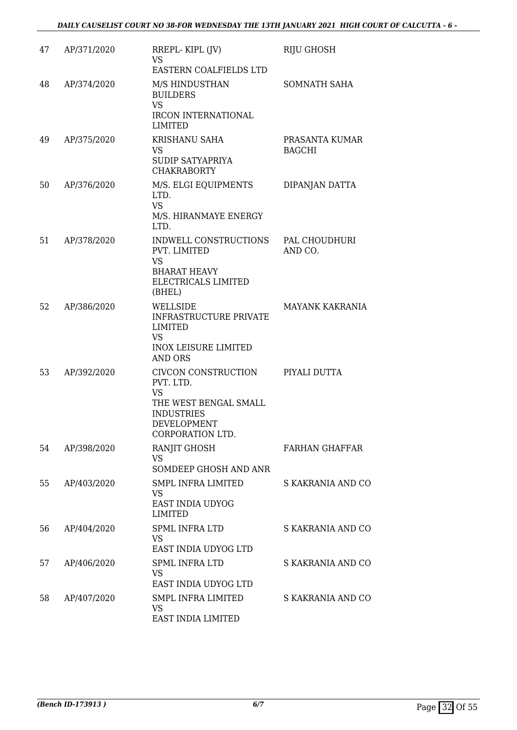| 47 | AP/371/2020 | RREPL-KIPL (JV)<br><b>VS</b>                                                                                                          | RIJU GHOSH                      |
|----|-------------|---------------------------------------------------------------------------------------------------------------------------------------|---------------------------------|
| 48 | AP/374/2020 | EASTERN COALFIELDS LTD<br>M/S HINDUSTHAN<br><b>BUILDERS</b><br><b>VS</b><br><b>IRCON INTERNATIONAL</b><br><b>LIMITED</b>              | SOMNATH SAHA                    |
| 49 | AP/375/2020 | <b>KRISHANU SAHA</b><br>VS<br>SUDIP SATYAPRIYA<br><b>CHAKRABORTY</b>                                                                  | PRASANTA KUMAR<br><b>BAGCHI</b> |
| 50 | AP/376/2020 | M/S. ELGI EQUIPMENTS<br>LTD.<br><b>VS</b><br>M/S. HIRANMAYE ENERGY<br>LTD.                                                            | DIPANJAN DATTA                  |
| 51 | AP/378/2020 | INDWELL CONSTRUCTIONS<br>PVT. LIMITED<br><b>VS</b><br><b>BHARAT HEAVY</b><br><b>ELECTRICALS LIMITED</b><br>(BHEL)                     | PAL CHOUDHURI<br>AND CO.        |
| 52 | AP/386/2020 | WELLSIDE<br><b>INFRASTRUCTURE PRIVATE</b><br>LIMITED<br><b>VS</b><br><b>INOX LEISURE LIMITED</b><br><b>AND ORS</b>                    | <b>MAYANK KAKRANIA</b>          |
| 53 | AP/392/2020 | CIVCON CONSTRUCTION<br>PVT. LTD.<br><b>VS</b><br>THE WEST BENGAL SMALL<br><b>INDUSTRIES</b><br><b>DEVELOPMENT</b><br>CORPORATION LTD. | PIYALI DUTTA                    |
| 54 | AP/398/2020 | RANJIT GHOSH<br><b>VS</b><br>SOMDEEP GHOSH AND ANR                                                                                    | <b>FARHAN GHAFFAR</b>           |
| 55 | AP/403/2020 | <b>SMPL INFRA LIMITED</b><br>VS<br><b>EAST INDIA UDYOG</b><br><b>LIMITED</b>                                                          | S KAKRANIA AND CO               |
| 56 | AP/404/2020 | <b>SPML INFRA LTD</b><br><b>VS</b><br>EAST INDIA UDYOG LTD                                                                            | S KAKRANIA AND CO               |
| 57 | AP/406/2020 | <b>SPML INFRA LTD</b><br>VS.<br>EAST INDIA UDYOG LTD                                                                                  | S KAKRANIA AND CO               |
| 58 | AP/407/2020 | <b>SMPL INFRA LIMITED</b><br>VS<br>EAST INDIA LIMITED                                                                                 | S KAKRANIA AND CO               |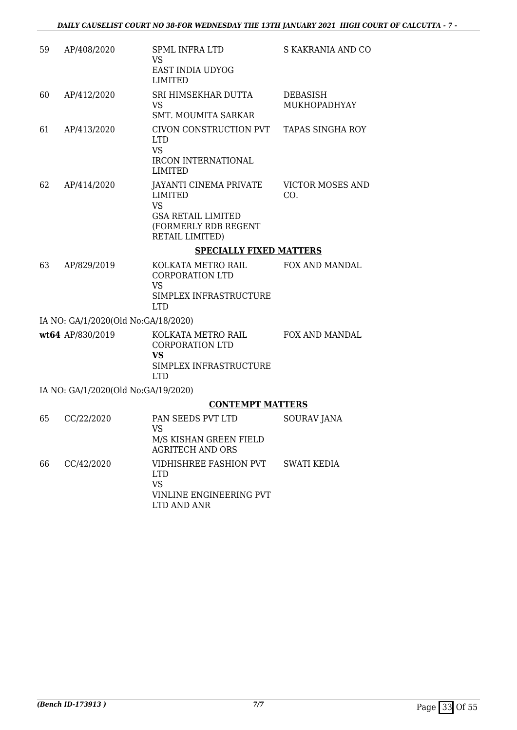| 59            | AP/408/2020                         | <b>SPML INFRA LTD</b><br><b>VS</b><br>EAST INDIA UDYOG<br><b>LIMITED</b>                                                      | S KAKRANIA AND CO               |
|---------------|-------------------------------------|-------------------------------------------------------------------------------------------------------------------------------|---------------------------------|
| 60            | AP/412/2020                         | SRI HIMSEKHAR DUTTA<br>VS<br><b>SMT. MOUMITA SARKAR</b>                                                                       | <b>DEBASISH</b><br>MUKHOPADHYAY |
| 61            | AP/413/2020                         | CIVON CONSTRUCTION PVT<br><b>LTD</b><br><b>VS</b><br><b>IRCON INTERNATIONAL</b><br><b>LIMITED</b>                             | <b>TAPAS SINGHA ROY</b>         |
| 62            | AP/414/2020                         | JAYANTI CINEMA PRIVATE<br><b>LIMITED</b><br><b>VS</b><br><b>GSA RETAIL LIMITED</b><br>(FORMERLY RDB REGENT<br>RETAIL LIMITED) | <b>VICTOR MOSES AND</b><br>CO.  |
|               |                                     | <b>SPECIALLY FIXED MATTERS</b>                                                                                                |                                 |
| 63            | AP/829/2019                         | KOLKATA METRO RAIL<br><b>CORPORATION LTD</b><br><b>VS</b><br>SIMPLEX INFRASTRUCTURE<br><b>LTD</b>                             | FOX AND MANDAL                  |
|               | IA NO: GA/1/2020(Old No:GA/18/2020) |                                                                                                                               |                                 |
|               | wt64 AP/830/2019                    | KOLKATA METRO RAIL<br><b>CORPORATION LTD</b><br>VS<br>SIMPLEX INFRASTRUCTURE<br><b>LTD</b>                                    | FOX AND MANDAL                  |
|               | IA NO: GA/1/2020(Old No:GA/19/2020) |                                                                                                                               |                                 |
|               |                                     | <b>CONTEMPT MATTERS</b>                                                                                                       |                                 |
| 65            | CC/22/2020                          | PAN SEEDS PVT LTD<br>VS<br>M/S KISHAN GREEN FIELD<br><b>AGRITECH AND ORS</b>                                                  | <b>SOURAV JANA</b>              |
| $\sim$ $\sim$ | 001100000                           | $\frac{1}{2}$                                                                                                                 |                                 |

66 CC/42/2020 VIDHISHREE FASHION PVT LTD VS VINLINE ENGINEERING PVT LTD AND ANR SWATI KEDIA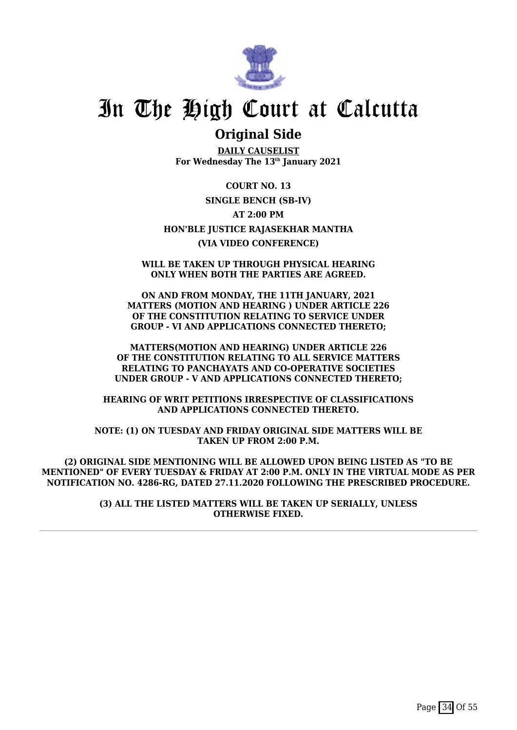

## **Original Side**

**DAILY CAUSELIST For Wednesday The 13th January 2021**

**COURT NO. 13 SINGLE BENCH (SB-IV) AT 2:00 PM HON'BLE JUSTICE RAJASEKHAR MANTHA (VIA VIDEO CONFERENCE)**

**WILL BE TAKEN UP THROUGH PHYSICAL HEARING ONLY WHEN BOTH THE PARTIES ARE AGREED.**

**ON AND FROM MONDAY, THE 11TH JANUARY, 2021 MATTERS (MOTION AND HEARING ) UNDER ARTICLE 226 OF THE CONSTITUTION RELATING TO SERVICE UNDER GROUP - VI AND APPLICATIONS CONNECTED THERETO;**

**MATTERS(MOTION AND HEARING) UNDER ARTICLE 226 OF THE CONSTITUTION RELATING TO ALL SERVICE MATTERS RELATING TO PANCHAYATS AND CO-OPERATIVE SOCIETIES UNDER GROUP - V AND APPLICATIONS CONNECTED THERETO;**

**HEARING OF WRIT PETITIONS IRRESPECTIVE OF CLASSIFICATIONS AND APPLICATIONS CONNECTED THERETO.**

**NOTE: (1) ON TUESDAY AND FRIDAY ORIGINAL SIDE MATTERS WILL BE TAKEN UP FROM 2:00 P.M.**

**(2) ORIGINAL SIDE MENTIONING WILL BE ALLOWED UPON BEING LISTED AS "TO BE MENTIONED" OF EVERY TUESDAY & FRIDAY AT 2:00 P.M. ONLY IN THE VIRTUAL MODE AS PER NOTIFICATION NO. 4286-RG, DATED 27.11.2020 FOLLOWING THE PRESCRIBED PROCEDURE.**

> **(3) ALL THE LISTED MATTERS WILL BE TAKEN UP SERIALLY, UNLESS OTHERWISE FIXED.**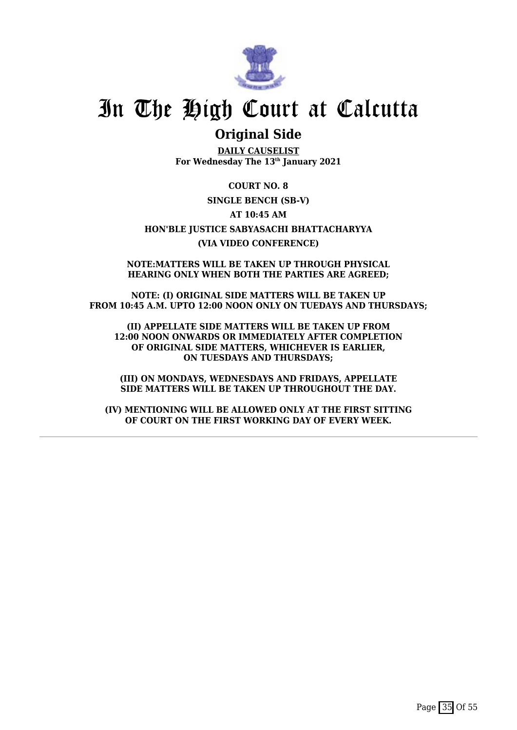

## **Original Side**

**DAILY CAUSELIST For Wednesday The 13th January 2021**

**COURT NO. 8 SINGLE BENCH (SB-V) AT 10:45 AM HON'BLE JUSTICE SABYASACHI BHATTACHARYYA (VIA VIDEO CONFERENCE)**

**NOTE:MATTERS WILL BE TAKEN UP THROUGH PHYSICAL HEARING ONLY WHEN BOTH THE PARTIES ARE AGREED;**

**NOTE: (I) ORIGINAL SIDE MATTERS WILL BE TAKEN UP FROM 10:45 A.M. UPTO 12:00 NOON ONLY ON TUEDAYS AND THURSDAYS;**

**(II) APPELLATE SIDE MATTERS WILL BE TAKEN UP FROM 12:00 NOON ONWARDS OR IMMEDIATELY AFTER COMPLETION OF ORIGINAL SIDE MATTERS, WHICHEVER IS EARLIER, ON TUESDAYS AND THURSDAYS;**

**(III) ON MONDAYS, WEDNESDAYS AND FRIDAYS, APPELLATE SIDE MATTERS WILL BE TAKEN UP THROUGHOUT THE DAY.**

**(IV) MENTIONING WILL BE ALLOWED ONLY AT THE FIRST SITTING OF COURT ON THE FIRST WORKING DAY OF EVERY WEEK.**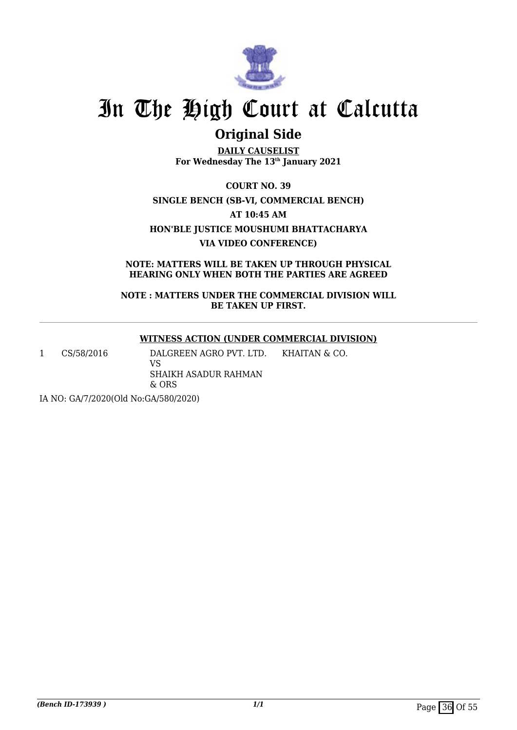

# **Original Side**

**DAILY CAUSELIST For Wednesday The 13th January 2021**

**COURT NO. 39 SINGLE BENCH (SB-VI, COMMERCIAL BENCH) AT 10:45 AM HON'BLE JUSTICE MOUSHUMI BHATTACHARYA VIA VIDEO CONFERENCE)**

**NOTE: MATTERS WILL BE TAKEN UP THROUGH PHYSICAL HEARING ONLY WHEN BOTH THE PARTIES ARE AGREED**

**NOTE : MATTERS UNDER THE COMMERCIAL DIVISION WILL BE TAKEN UP FIRST.**

### **WITNESS ACTION (UNDER COMMERCIAL DIVISION)**

KHAITAN & CO.

1 CS/58/2016 DALGREEN AGRO PVT. LTD. VS

SHAIKH ASADUR RAHMAN & ORS

IA NO: GA/7/2020(Old No:GA/580/2020)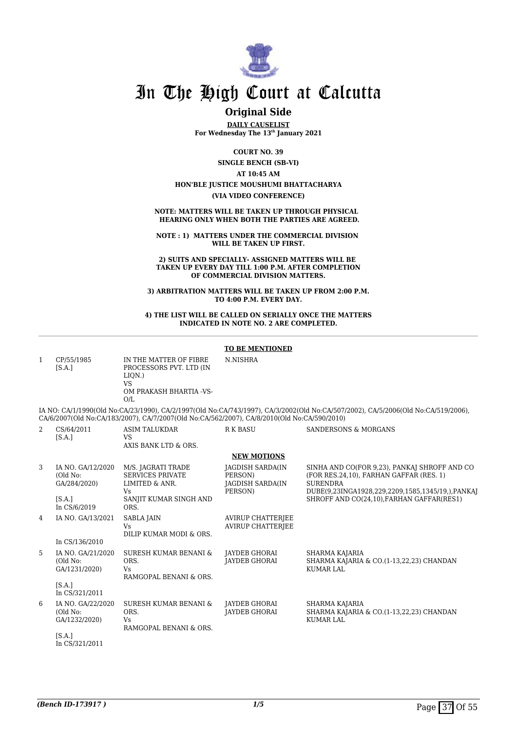

## **Original Side**

**DAILY CAUSELIST For Wednesday The 13th January 2021**

**COURT NO. 39**

**SINGLE BENCH (SB-VI)**

**AT 10:45 AM**

**HON'BLE JUSTICE MOUSHUMI BHATTACHARYA**

**(VIA VIDEO CONFERENCE)**

**NOTE: MATTERS WILL BE TAKEN UP THROUGH PHYSICAL HEARING ONLY WHEN BOTH THE PARTIES ARE AGREED.**

**NOTE : 1) MATTERS UNDER THE COMMERCIAL DIVISION WILL BE TAKEN UP FIRST.**

**2) SUITS AND SPECIALLY- ASSIGNED MATTERS WILL BE TAKEN UP EVERY DAY TILL 1:00 P.M. AFTER COMPLETION OF COMMERCIAL DIVISION MATTERS.**

**3) ARBITRATION MATTERS WILL BE TAKEN UP FROM 2:00 P.M. TO 4:00 P.M. EVERY DAY.**

#### **4) THE LIST WILL BE CALLED ON SERIALLY ONCE THE MATTERS INDICATED IN NOTE NO. 2 ARE COMPLETED.**

#### **TO BE MENTIONED** 1 CP/55/1985  $[S.A.]$ IN THE MATTER OF FIBRE PROCESSORS PVT. LTD (IN LIQN.) VS OM PRAKASH BHARTIA -VS- $\Omega$ N.NISHRA IA NO: CA/1/1990(Old No:CA/23/1990), CA/2/1997(Old No:CA/743/1997), CA/3/2002(Old No:CA/507/2002), CA/5/2006(Old No:CA/519/2006), CA/6/2007(Old No:CA/183/2007), CA/7/2007(Old No:CA/562/2007), CA/8/2010(Old No:CA/590/2010) 2 CS/64/2011 [S.A.] ASIM TALUKDAR VS AXIS BANK LTD & ORS. R K BASU SANDERSONS & MORGANS **NEW MOTIONS** 3 IA NO. GA/12/2020 (Old No: GA/284/2020)  $[S.A.]$ In CS/6/2019 M/S. JAGRATI TRADE SERVICES PRIVATE LIMITED & ANR. Vs SANJIT KUMAR SINGH AND ORS. JAGDISH SARDA(IN PERSON) JAGDISH SARDA(IN PERSON) SINHA AND CO(FOR 9,23), PANKAJ SHROFF AND CO (FOR RES.24,10), FARHAN GAFFAR (RES. 1) **SURENDRA** DUBE(9,23INGA1928,229,2209,1585,1345/19,),PANKAJ SHROFF AND CO(24,10),FARHAN GAFFAR(RES1) 4 IA NO. GA/13/2021 In CS/136/2010 SABLA JAIN Vs DILIP KUMAR MODI & ORS. AVIRUP CHATTERJEE AVIRUP CHATTERJEE 5 IA NO. GA/21/2020 (Old No: GA/1231/2020)  $[S.A.]$ In CS/321/2011 SURESH KUMAR BENANI & ORS. Vs RAMGOPAL BENANI & ORS. JAYDEB GHORAI JAYDEB GHORAI SHARMA KAJARIA SHARMA KAJARIA & CO.(1-13,22,23) CHANDAN KUMAR LAL 6 IA NO. GA/22/2020 (Old No: GA/1232/2020)  $ISA1$ In CS/321/2011 SURESH KUMAR BENANI & ORS.  $V_{\rm c}$ RAMGOPAL BENANI & ORS. JAYDEB GHORAI JAYDEB GHORAI SHARMA KAJARIA SHARMA KAJARIA & CO.(1-13,22,23) CHANDAN KUMAR LAL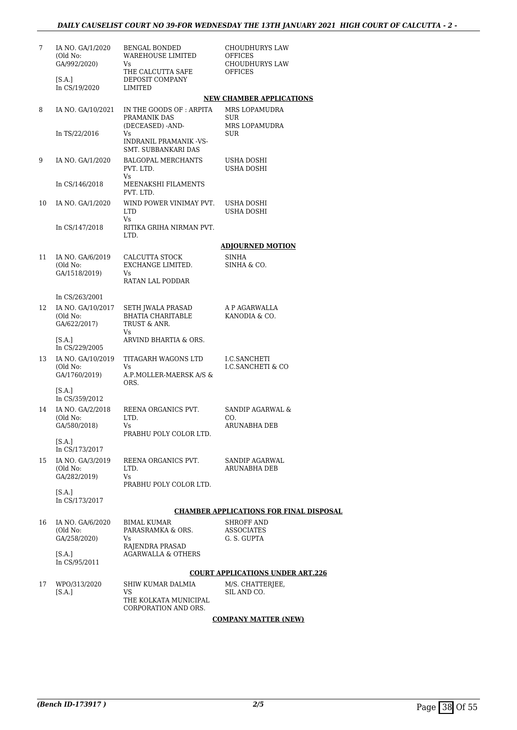| 7  | IA NO. GA/1/2020<br>(Old No:<br>GA/992/2020)  | <b>BENGAL BONDED</b><br>WAREHOUSE LIMITED<br>Vs                     | CHOUDHURYS LAW<br>OFFICES<br>CHOUDHURYS LAW    |
|----|-----------------------------------------------|---------------------------------------------------------------------|------------------------------------------------|
|    | [S.A.]<br>In CS/19/2020                       | THE CALCUTTA SAFE<br>DEPOSIT COMPANY                                | <b>OFFICES</b>                                 |
|    |                                               | LIMITED                                                             | <b>NEW CHAMBER APPLICATIONS</b>                |
|    |                                               |                                                                     |                                                |
| 8  | IA NO. GA/10/2021                             | IN THE GOODS OF: ARPITA<br>PRAMANIK DAS<br>(DECEASED) -AND-         | MRS LOPAMUDRA<br><b>SUR</b><br>MRS LOPAMUDRA   |
|    | In TS/22/2016                                 | Vs<br>INDRANIL PRAMANIK -VS-                                        | SUR                                            |
| 9  | IA NO. GA/1/2020                              | SMT. SUBBANKARI DAS<br><b>BALGOPAL MERCHANTS</b><br>PVT. LTD.       | USHA DOSHI<br>USHA DOSHI                       |
|    | In CS/146/2018                                | Vs<br>MEENAKSHI FILAMENTS                                           |                                                |
| 10 | IA NO. GA/1/2020                              | PVT. LTD.<br>WIND POWER VINIMAY PVT.<br><b>LTD</b>                  | USHA DOSHI<br>USHA DOSHI                       |
|    | In CS/147/2018                                | Vs.<br>RITIKA GRIHA NIRMAN PVT.                                     |                                                |
|    |                                               | LTD.                                                                | <b>ADJOURNED MOTION</b>                        |
|    |                                               |                                                                     |                                                |
| 11 | IA NO. GA/6/2019<br>(Old No:<br>GA/1518/2019) | CALCUTTA STOCK<br>EXCHANGE LIMITED.<br>Vs                           | <b>SINHA</b><br>SINHA & CO.                    |
|    |                                               | RATAN LAL PODDAR                                                    |                                                |
|    | In CS/263/2001                                |                                                                     |                                                |
| 12 | IA NO. GA/10/2017<br>(Old No:<br>GA/622/2017) | SETH JWALA PRASAD<br><b>BHATIA CHARITABLE</b><br>TRUST & ANR.<br>Vs | A P AGARWALLA<br>KANODIA & CO.                 |
|    | [S.A.]<br>In CS/229/2005                      | ARVIND BHARTIA & ORS.                                               |                                                |
| 13 | IA NO. GA/10/2019<br>(Old No:                 | TITAGARH WAGONS LTD<br>Vs                                           | I.C.SANCHETI<br>I.C.SANCHETI & CO              |
|    | GA/1760/2019)<br>[S.A.]                       | A.P.MOLLER-MAERSK A/S &<br>ORS.                                     |                                                |
|    | In CS/359/2012                                |                                                                     |                                                |
| 14 | IA NO. GA/2/2018<br>(Old No:<br>GA/580/2018)  | REENA ORGANICS PVT.<br>LTD.<br>Vs                                   | SANDIP AGARWAL &<br>CO.<br>ARUNABHA DEB        |
|    |                                               | PRABHU POLY COLOR LTD.                                              |                                                |
|    | [S.A.]<br>In CS/173/2017                      |                                                                     |                                                |
| 15 | IA NO. GA/3/2019                              | REENA ORGANICS PVT.                                                 | SANDIP AGARWAL                                 |
|    | (Old No:<br>GA/282/2019)                      | LTD.<br>Vs<br>PRABHU POLY COLOR LTD.                                | ARUNABHA DEB                                   |
|    | [S.A.]<br>In CS/173/2017                      |                                                                     |                                                |
|    |                                               |                                                                     | <b>CHAMBER APPLICATIONS FOR FINAL DISPOSAL</b> |
| 16 | IA NO. GA/6/2020<br>(Old No:                  | <b>BIMAL KUMAR</b><br>PARASRAMKA & ORS.                             | <b>SHROFF AND</b><br><b>ASSOCIATES</b>         |
|    | GA/258/2020)                                  | Vs<br>RAJENDRA PRASAD                                               | G. S. GUPTA                                    |
|    | [S.A.]<br>In CS/95/2011                       | <b>AGARWALLA &amp; OTHERS</b>                                       |                                                |
|    |                                               |                                                                     | <b>COURT APPLICATIONS UNDER ART.226</b>        |
| 17 | WPO/313/2020<br>[S.A.]                        | SHIW KUMAR DALMIA<br>VS                                             | M/S. CHATTERJEE,<br>SIL AND CO.                |
|    |                                               | THE KOLKATA MUNICIPAL<br>CORPORATION AND ORS.                       |                                                |

**COMPANY MATTER (NEW)**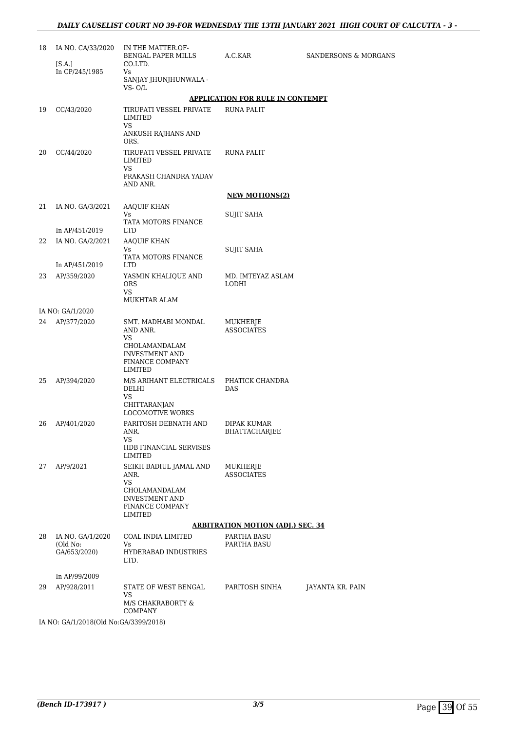| 18 | IA NO. CA/33/2020                                                           | IN THE MATTER.OF-<br>BENGAL PAPER MILLS                                                                             | A.C.KAR                                  | <b>SANDERSONS &amp; MORGANS</b> |
|----|-----------------------------------------------------------------------------|---------------------------------------------------------------------------------------------------------------------|------------------------------------------|---------------------------------|
|    | [S.A.]<br>In CP/245/1985                                                    | CO.LTD.<br>Vs                                                                                                       |                                          |                                 |
|    |                                                                             | SANJAY JHUNJHUNWALA -<br>VS- O/L                                                                                    |                                          |                                 |
|    |                                                                             |                                                                                                                     | <b>APPLICATION FOR RULE IN CONTEMPT</b>  |                                 |
| 19 | CC/43/2020                                                                  | TIRUPATI VESSEL PRIVATE<br>LIMITED<br>VS                                                                            | RUNA PALIT                               |                                 |
|    |                                                                             | ANKUSH RAJHANS AND<br>ORS.                                                                                          |                                          |                                 |
| 20 | CC/44/2020                                                                  | TIRUPATI VESSEL PRIVATE<br>LIMITED<br>VS                                                                            | RUNA PALIT                               |                                 |
|    |                                                                             | PRAKASH CHANDRA YADAV<br>AND ANR.                                                                                   |                                          |                                 |
|    |                                                                             |                                                                                                                     | <b>NEW MOTIONS(2)</b>                    |                                 |
| 21 | IA NO. GA/3/2021                                                            | AAQUIF KHAN                                                                                                         |                                          |                                 |
|    |                                                                             | Vs<br>TATA MOTORS FINANCE                                                                                           | SUJIT SAHA                               |                                 |
|    | In AP/451/2019                                                              | <b>LTD</b>                                                                                                          |                                          |                                 |
| 22 | IA NO. GA/2/2021                                                            | <b>AAQUIF KHAN</b>                                                                                                  |                                          |                                 |
|    |                                                                             | Vs<br>TATA MOTORS FINANCE                                                                                           | <b>SUJIT SAHA</b>                        |                                 |
|    | In AP/451/2019                                                              | <b>LTD</b>                                                                                                          |                                          |                                 |
| 23 | AP/359/2020                                                                 | YASMIN KHALIQUE AND<br><b>ORS</b><br>VS                                                                             | MD. IMTEYAZ ASLAM<br>LODHI               |                                 |
|    |                                                                             | MUKHTAR ALAM                                                                                                        |                                          |                                 |
|    | IA NO: GA/1/2020                                                            |                                                                                                                     |                                          |                                 |
| 24 | AP/377/2020                                                                 | SMT. MADHABI MONDAL<br>AND ANR.<br>VS<br>CHOLAMANDALAM                                                              | MUKHERJE<br><b>ASSOCIATES</b>            |                                 |
|    |                                                                             | INVESTMENT AND<br>FINANCE COMPANY<br>LIMITED                                                                        |                                          |                                 |
| 25 | AP/394/2020                                                                 | M/S ARIHANT ELECTRICALS<br>DELHI<br>VS                                                                              | PHATICK CHANDRA<br>DAS                   |                                 |
|    |                                                                             | CHITTARANJAN<br><b>LOCOMOTIVE WORKS</b>                                                                             |                                          |                                 |
| 26 | AP/401/2020                                                                 | PARITOSH DEBNATH AND<br>ANR.<br>VS                                                                                  | DIPAK KUMAR<br>BHATTACHARJEE             |                                 |
|    |                                                                             | HDB FINANCIAL SERVISES<br>LIMITED                                                                                   |                                          |                                 |
| 27 | AP/9/2021                                                                   | SEIKH BADIUL JAMAL AND<br>ANR.<br><b>VS</b><br>CHOLAMANDALAM<br><b>INVESTMENT AND</b><br>FINANCE COMPANY<br>LIMITED | MUKHERJE<br><b>ASSOCIATES</b>            |                                 |
|    |                                                                             |                                                                                                                     | <b>ARBITRATION MOTION (ADJ.) SEC. 34</b> |                                 |
| 28 | IA NO. GA/1/2020                                                            | COAL INDIA LIMITED                                                                                                  | PARTHA BASU                              |                                 |
|    | (Old No:<br>GA/653/2020)                                                    | Vs<br>HYDERABAD INDUSTRIES<br>LTD.                                                                                  | <b>PARTHA BASU</b>                       |                                 |
|    | In AP/99/2009                                                               |                                                                                                                     |                                          |                                 |
| 29 | AP/928/2011                                                                 | STATE OF WEST BENGAL<br>VS<br>M/S CHAKRABORTY &                                                                     | PARITOSH SINHA                           | JAYANTA KR. PAIN                |
|    | $11 \text{ NQ}$ , $C \text{A}$ /1/2019/01d $N_{Q}$ $C \text{A}$ /2200/2019) | <b>COMPANY</b>                                                                                                      |                                          |                                 |

IA NO: GA/1/2018(Old No:GA/3399/2018)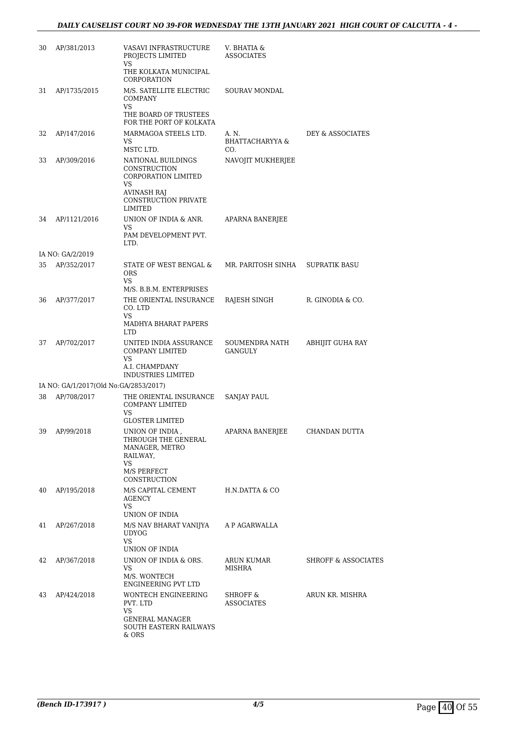| 30 | AP/381/2013                           | VASAVI INFRASTRUCTURE<br>PROJECTS LIMITED<br>VS                                                                                               | V. BHATIA &<br><b>ASSOCIATES</b> |                                |
|----|---------------------------------------|-----------------------------------------------------------------------------------------------------------------------------------------------|----------------------------------|--------------------------------|
|    |                                       | THE KOLKATA MUNICIPAL<br>CORPORATION                                                                                                          |                                  |                                |
| 31 | AP/1735/2015                          | M/S. SATELLITE ELECTRIC<br><b>COMPANY</b><br>VS<br>THE BOARD OF TRUSTEES<br>FOR THE PORT OF KOLKATA                                           | SOURAV MONDAL                    |                                |
| 32 | AP/147/2016                           | MARMAGOA STEELS LTD.<br>VS<br>MSTC LTD.                                                                                                       | A. N.<br>BHATTACHARYYA &         | DEY & ASSOCIATES               |
| 33 | AP/309/2016                           | NATIONAL BUILDINGS<br><b>CONSTRUCTION</b><br><b>CORPORATION LIMITED</b><br>VS<br><b>AVINASH RAJ</b><br><b>CONSTRUCTION PRIVATE</b><br>LIMITED | CO.<br>NAVOJIT MUKHERJEE         |                                |
| 34 | AP/1121/2016                          | UNION OF INDIA & ANR.<br>VS<br>PAM DEVELOPMENT PVT.                                                                                           | APARNA BANERJEE                  |                                |
|    |                                       | LTD.                                                                                                                                          |                                  |                                |
|    | IA NO: GA/2/2019                      |                                                                                                                                               |                                  |                                |
| 35 | AP/352/2017                           | STATE OF WEST BENGAL &<br><b>ORS</b><br>VS<br>M/S. B.B.M. ENTERPRISES                                                                         | MR. PARITOSH SINHA               | <b>SUPRATIK BASU</b>           |
| 36 | AP/377/2017                           | THE ORIENTAL INSURANCE<br>CO. LTD<br>VS                                                                                                       | RAJESH SINGH                     | R. GINODIA & CO.               |
|    |                                       | MADHYA BHARAT PAPERS<br><b>LTD</b>                                                                                                            |                                  |                                |
| 37 | AP/702/2017                           | UNITED INDIA ASSURANCE<br>COMPANY LIMITED<br>VS<br>A.I. CHAMPDANY                                                                             | SOUMENDRA NATH<br>GANGULY        | ABHIJIT GUHA RAY               |
|    | IA NO: GA/1/2017(Old No:GA/2853/2017) | INDUSTRIES LIMITED                                                                                                                            |                                  |                                |
| 38 | AP/708/2017                           | THE ORIENTAL INSURANCE                                                                                                                        | SANJAY PAUL                      |                                |
|    |                                       | <b>COMPANY LIMITED</b><br>VS                                                                                                                  |                                  |                                |
| 39 | AP/99/2018                            | <b>GLOSTER LIMITED</b><br>UNION OF INDIA,<br>THROUGH THE GENERAL<br>MANAGER, METRO<br>RAILWAY,<br>VS                                          | APARNA BANERJEE                  | CHANDAN DUTTA                  |
|    |                                       | M/S PERFECT<br>CONSTRUCTION                                                                                                                   |                                  |                                |
| 40 | AP/195/2018                           | M/S CAPITAL CEMENT<br>AGENCY<br>VS.<br>UNION OF INDIA                                                                                         | H.N.DATTA & CO                   |                                |
| 41 | AP/267/2018                           | M/S NAV BHARAT VANIJYA A P AGARWALLA<br><b>UDYOG</b><br><b>VS</b>                                                                             |                                  |                                |
| 42 | AP/367/2018                           | UNION OF INDIA<br>UNION OF INDIA & ORS.<br>VS<br>M/S. WONTECH<br>ENGINEERING PVT LTD                                                          | ARUN KUMAR<br>MISHRA             | <b>SHROFF &amp; ASSOCIATES</b> |
| 43 | AP/424/2018                           | WONTECH ENGINEERING<br>PVT. LTD<br>VS<br>GENERAL MANAGER<br>SOUTH EASTERN RAILWAYS<br>& ORS                                                   | SHROFF &<br><b>ASSOCIATES</b>    | ARUN KR. MISHRA                |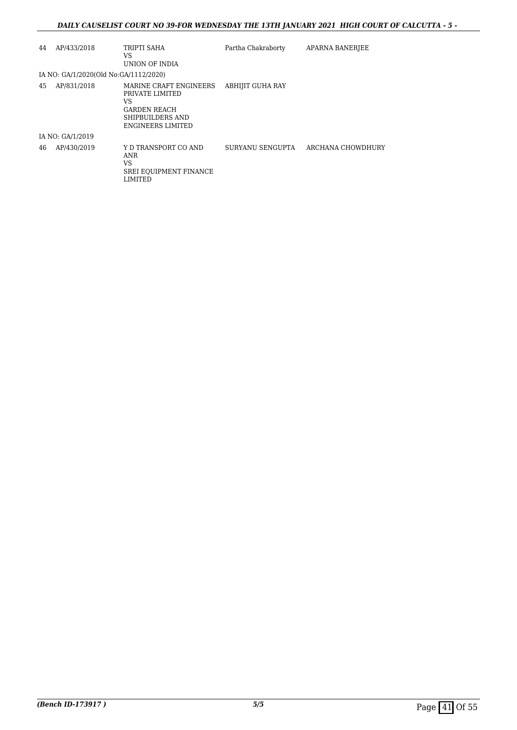### *DAILY CAUSELIST COURT NO 39-FOR WEDNESDAY THE 13TH JANUARY 2021 HIGH COURT OF CALCUTTA - 5 -*

| 44 | AP/433/2018                           | TRIPTI SAHA<br>VS<br>UNION OF INDIA                                                                             | Partha Chakraborty      | APARNA BANERJEE   |
|----|---------------------------------------|-----------------------------------------------------------------------------------------------------------------|-------------------------|-------------------|
|    | IA NO: GA/1/2020(Old No:GA/1112/2020) |                                                                                                                 |                         |                   |
| 45 | AP/831/2018                           | MARINE CRAFT ENGINEERS<br>PRIVATE LIMITED<br>VS<br><b>GARDEN REACH</b><br>SHIPBUILDERS AND<br>ENGINEERS LIMITED | <b>ABHIJIT GUHA RAY</b> |                   |
|    | IA NO: GA/1/2019                      |                                                                                                                 |                         |                   |
| 46 | AP/430/2019                           | Y D TRANSPORT CO AND<br>ANR<br>VS<br><b>SREI EQUIPMENT FINANCE</b><br>LIMITED                                   | SURYANU SENGUPTA        | ARCHANA CHOWDHURY |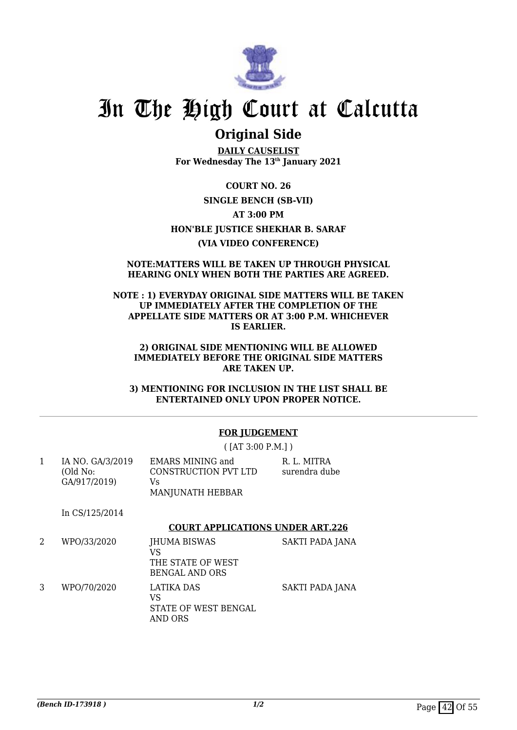

## **Original Side**

**DAILY CAUSELIST For Wednesday The 13th January 2021**

**COURT NO. 26 SINGLE BENCH (SB-VII) AT 3:00 PM HON'BLE JUSTICE SHEKHAR B. SARAF (VIA VIDEO CONFERENCE)**

#### **NOTE:MATTERS WILL BE TAKEN UP THROUGH PHYSICAL HEARING ONLY WHEN BOTH THE PARTIES ARE AGREED.**

#### **NOTE : 1) EVERYDAY ORIGINAL SIDE MATTERS WILL BE TAKEN UP IMMEDIATELY AFTER THE COMPLETION OF THE APPELLATE SIDE MATTERS OR AT 3:00 P.M. WHICHEVER IS EARLIER.**

#### **2) ORIGINAL SIDE MENTIONING WILL BE ALLOWED IMMEDIATELY BEFORE THE ORIGINAL SIDE MATTERS ARE TAKEN UP.**

**3) MENTIONING FOR INCLUSION IN THE LIST SHALL BE ENTERTAINED ONLY UPON PROPER NOTICE.**

## **FOR JUDGEMENT**

( [AT 3:00 P.M.] )

| IA NO. GA/3/2019 | <b>EMARS MINING and</b> | R. L. MITRA   |
|------------------|-------------------------|---------------|
| (Old No:         | CONSTRUCTION PVT LTD    | surendra dube |
| GA/917/2019)     | Vs<br>MANJUNATH HEBBAR  |               |

In CS/125/2014

#### **COURT APPLICATIONS UNDER ART.226**

- 2 WPO/33/2020 JHUMA BISWAS VS THE STATE OF WEST BENGAL AND ORS SAKTI PADA JANA 3 WPO/70/2020 LATIKA DAS SAKTI PADA JANA
- VS STATE OF WEST BENGAL AND ORS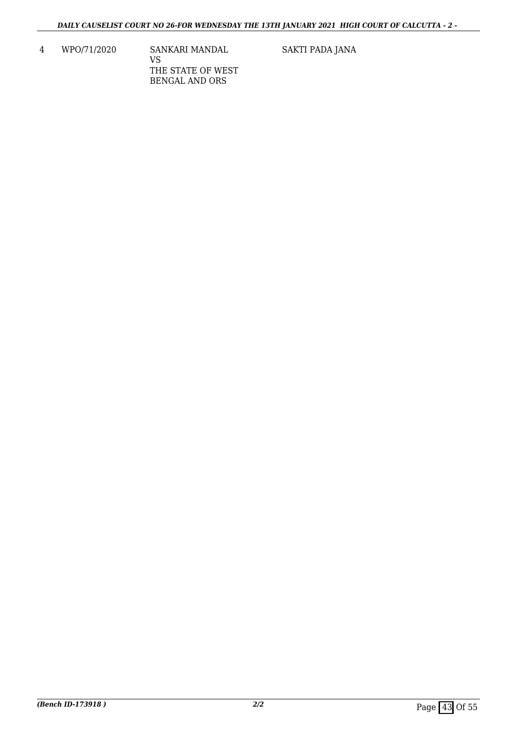4 WPO/71/2020 SANKARI MANDAL VS THE STATE OF WEST BENGAL AND ORS

SAKTI PADA JANA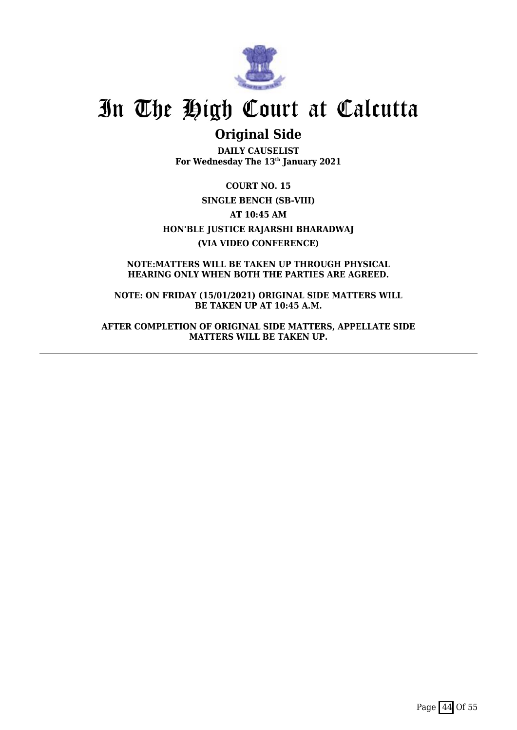

## **Original Side**

**DAILY CAUSELIST For Wednesday The 13th January 2021**

**COURT NO. 15 SINGLE BENCH (SB-VIII) AT 10:45 AM HON'BLE JUSTICE RAJARSHI BHARADWAJ (VIA VIDEO CONFERENCE)**

**NOTE:MATTERS WILL BE TAKEN UP THROUGH PHYSICAL HEARING ONLY WHEN BOTH THE PARTIES ARE AGREED.**

**NOTE: ON FRIDAY (15/01/2021) ORIGINAL SIDE MATTERS WILL BE TAKEN UP AT 10:45 A.M.**

**AFTER COMPLETION OF ORIGINAL SIDE MATTERS, APPELLATE SIDE MATTERS WILL BE TAKEN UP.**

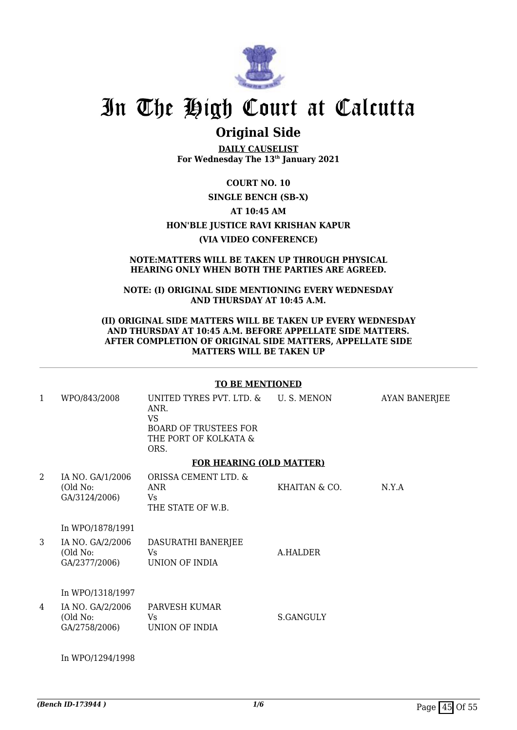

## **Original Side**

**DAILY CAUSELIST For Wednesday The 13th January 2021**

### **COURT NO. 10**

### **SINGLE BENCH (SB-X)**

### **AT 10:45 AM**

### **HON'BLE JUSTICE RAVI KRISHAN KAPUR**

### **(VIA VIDEO CONFERENCE)**

#### **NOTE:MATTERS WILL BE TAKEN UP THROUGH PHYSICAL HEARING ONLY WHEN BOTH THE PARTIES ARE AGREED.**

#### **NOTE: (I) ORIGINAL SIDE MENTIONING EVERY WEDNESDAY AND THURSDAY AT 10:45 A.M.**

### **(II) ORIGINAL SIDE MATTERS WILL BE TAKEN UP EVERY WEDNESDAY AND THURSDAY AT 10:45 A.M. BEFORE APPELLATE SIDE MATTERS. AFTER COMPLETION OF ORIGINAL SIDE MATTERS, APPELLATE SIDE MATTERS WILL BE TAKEN UP**

### **TO BE MENTIONED**

| 1              | WPO/843/2008                                  | UNITED TYRES PVT. LTD. & U. S. MENON<br>ANR.<br><b>VS</b><br><b>BOARD OF TRUSTEES FOR</b><br>THE PORT OF KOLKATA &<br>ORS. |               | <b>AYAN BANERJEE</b> |
|----------------|-----------------------------------------------|----------------------------------------------------------------------------------------------------------------------------|---------------|----------------------|
|                |                                               | <b>FOR HEARING (OLD MATTER)</b>                                                                                            |               |                      |
| $\overline{2}$ | IA NO. GA/1/2006<br>(Old No:<br>GA/3124/2006) | ORISSA CEMENT LTD. &<br>ANR<br>Vs<br>THE STATE OF W.B.                                                                     | KHAITAN & CO. | N.Y.A                |
|                | In WPO/1878/1991                              |                                                                                                                            |               |                      |
| 3              | IA NO. GA/2/2006<br>(Old No:<br>GA/2377/2006) | DASURATHI BANERJEE<br>Vs.<br>UNION OF INDIA                                                                                | A.HALDER      |                      |
|                | In WPO/1318/1997                              |                                                                                                                            |               |                      |
| 4              | IA NO. GA/2/2006<br>(Old No:<br>GA/2758/2006) | PARVESH KUMAR<br>Vs<br>UNION OF INDIA                                                                                      | S.GANGULY     |                      |

In WPO/1294/1998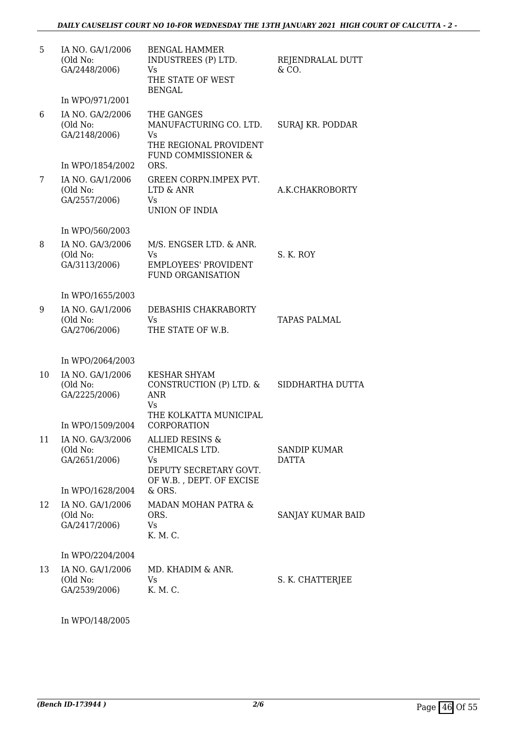| 5  | IA NO. GA/1/2006<br>(Old No:<br>GA/2448/2006) | <b>BENGAL HAMMER</b><br>INDUSTREES (P) LTD.<br>Vs<br>THE STATE OF WEST<br><b>BENGAL</b>                   | REJENDRALAL DUTT<br>& CO.    |
|----|-----------------------------------------------|-----------------------------------------------------------------------------------------------------------|------------------------------|
|    | In WPO/971/2001                               |                                                                                                           |                              |
| 6  | IA NO. GA/2/2006<br>(Old No:<br>GA/2148/2006) | THE GANGES<br>MANUFACTURING CO. LTD.<br>Vs<br>THE REGIONAL PROVIDENT<br>FUND COMMISSIONER &               | SURAJ KR. PODDAR             |
|    | In WPO/1854/2002                              | ORS.                                                                                                      |                              |
| 7  | IA NO. GA/1/2006<br>(Old No:<br>GA/2557/2006) | GREEN CORPN.IMPEX PVT.<br>LTD & ANR<br>Vs<br><b>UNION OF INDIA</b>                                        | A.K.CHAKROBORTY              |
|    | In WPO/560/2003                               |                                                                                                           |                              |
| 8  | IA NO. GA/3/2006<br>(Old No:<br>GA/3113/2006) | M/S. ENGSER LTD. & ANR.<br>Vs<br><b>EMPLOYEES' PROVIDENT</b><br><b>FUND ORGANISATION</b>                  | S. K. ROY                    |
|    | In WPO/1655/2003                              |                                                                                                           |                              |
| 9  | IA NO. GA/1/2006<br>(Old No:<br>GA/2706/2006) | DEBASHIS CHAKRABORTY<br>Vs<br>THE STATE OF W.B.                                                           | TAPAS PALMAL                 |
|    | In WPO/2064/2003                              |                                                                                                           |                              |
| 10 | IA NO. GA/1/2006<br>(Old No:<br>GA/2225/2006) | <b>KESHAR SHYAM</b><br>CONSTRUCTION (P) LTD. &<br><b>ANR</b><br>Vs<br>THE KOLKATTA MUNICIPAL              | SIDDHARTHA DUTTA             |
|    | In WPO/1509/2004                              | CORPORATION                                                                                               |                              |
| 11 | IA NO. GA/3/2006<br>(Old No:<br>GA/2651/2006) | <b>ALLIED RESINS &amp;</b><br>CHEMICALS LTD.<br>Vs.<br>DEPUTY SECRETARY GOVT.<br>OF W.B., DEPT. OF EXCISE | SANDIP KUMAR<br><b>DATTA</b> |
|    | In WPO/1628/2004                              | $&$ ORS.                                                                                                  |                              |
| 12 | IA NO. GA/1/2006<br>(Old No:<br>GA/2417/2006) | MADAN MOHAN PATRA &<br>ORS.<br>Vs<br>K. M. C.                                                             | SANJAY KUMAR BAID            |
|    | In WPO/2204/2004                              |                                                                                                           |                              |
| 13 | IA NO. GA/1/2006<br>(Old No:<br>GA/2539/2006) | MD. KHADIM & ANR.<br>Vs<br>K. M. C.                                                                       | S. K. CHATTERJEE             |

In WPO/148/2005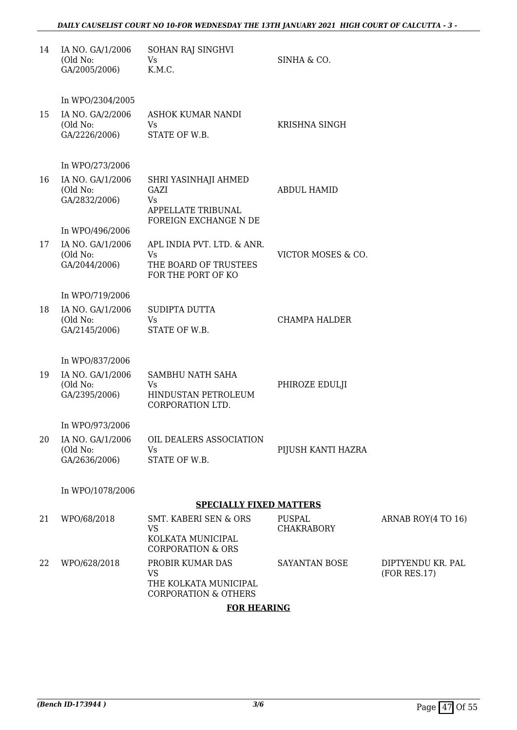### *DAILY CAUSELIST COURT NO 10-FOR WEDNESDAY THE 13TH JANUARY 2021 HIGH COURT OF CALCUTTA - 3 -*

| 14 | IA NO. GA/1/2006<br>(Old No:<br>GA/2005/2006)                     | SOHAN RAJ SINGHVI<br>Vs<br>K.M.C.                                                           | SINHA & CO.                 |                                   |
|----|-------------------------------------------------------------------|---------------------------------------------------------------------------------------------|-----------------------------|-----------------------------------|
| 15 | In WPO/2304/2005<br>IA NO. GA/2/2006<br>(Old No:<br>GA/2226/2006) | ASHOK KUMAR NANDI<br>Vs<br>STATE OF W.B.                                                    | KRISHNA SINGH               |                                   |
|    | In WPO/273/2006                                                   |                                                                                             |                             |                                   |
| 16 | IA NO. GA/1/2006<br>(Old No:<br>GA/2832/2006)                     | SHRI YASINHAJI AHMED<br>GAZI<br>Vs<br><b>APPELLATE TRIBUNAL</b>                             | <b>ABDUL HAMID</b>          |                                   |
|    | In WPO/496/2006                                                   | FOREIGN EXCHANGE N DE                                                                       |                             |                                   |
| 17 | IA NO. GA/1/2006<br>(Old No:<br>GA/2044/2006)                     | APL INDIA PVT. LTD. & ANR.<br>Vs<br>THE BOARD OF TRUSTEES<br>FOR THE PORT OF KO             | VICTOR MOSES & CO.          |                                   |
|    | In WPO/719/2006                                                   |                                                                                             |                             |                                   |
| 18 | IA NO. GA/1/2006<br>(Old No:<br>GA/2145/2006)                     | <b>SUDIPTA DUTTA</b><br>Vs<br>STATE OF W.B.                                                 | <b>CHAMPA HALDER</b>        |                                   |
|    | In WPO/837/2006                                                   |                                                                                             |                             |                                   |
| 19 | IA NO. GA/1/2006<br>(Old No:<br>GA/2395/2006)                     | SAMBHU NATH SAHA<br>Vs<br>HINDUSTAN PETROLEUM<br>CORPORATION LTD.                           | PHIROZE EDULJI              |                                   |
|    | In WPO/973/2006                                                   |                                                                                             |                             |                                   |
| 20 | IA NO. GA/1/2006<br>(Old No:<br>GA/2636/2006)                     | OIL DEALERS ASSOCIATION<br>Vs<br>STATE OF W.B.                                              | PIJUSH KANTI HAZRA          |                                   |
|    | In WPO/1078/2006                                                  |                                                                                             |                             |                                   |
|    |                                                                   | <b>SPECIALLY FIXED MATTERS</b>                                                              |                             |                                   |
| 21 | WPO/68/2018                                                       | <b>SMT. KABERI SEN &amp; ORS</b><br>VS<br>KOLKATA MUNICIPAL<br><b>CORPORATION &amp; ORS</b> | PUSPAL<br><b>CHAKRABORY</b> | ARNAB ROY(4 TO 16)                |
| 22 | WPO/628/2018                                                      | PROBIR KUMAR DAS<br>VS<br>THE KOLKATA MUNICIPAL<br><b>CORPORATION &amp; OTHERS</b>          | SAYANTAN BOSE               | DIPTYENDU KR. PAL<br>(FOR RES.17) |

## **FOR HEARING**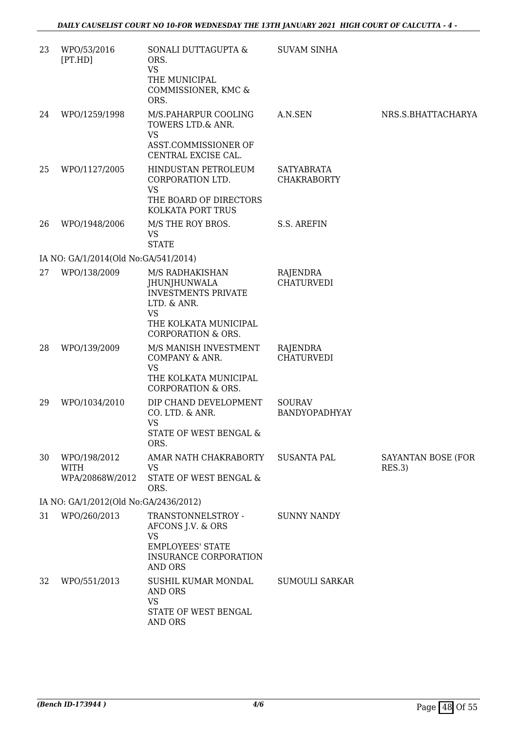| 23 | WPO/53/2016<br>[PT.HD]                         | SONALI DUTTAGUPTA &<br>ORS.<br><b>VS</b><br>THE MUNICIPAL<br>COMMISSIONER, KMC &<br>ORS.                                                                   | <b>SUVAM SINHA</b>                      |                              |
|----|------------------------------------------------|------------------------------------------------------------------------------------------------------------------------------------------------------------|-----------------------------------------|------------------------------|
| 24 | WPO/1259/1998                                  | M/S.PAHARPUR COOLING<br>TOWERS LTD.& ANR.<br><b>VS</b><br>ASST.COMMISSIONER OF<br>CENTRAL EXCISE CAL.                                                      | A.N.SEN                                 | NRS.S.BHATTACHARYA           |
| 25 | WPO/1127/2005                                  | HINDUSTAN PETROLEUM<br>CORPORATION LTD.<br><b>VS</b><br>THE BOARD OF DIRECTORS<br>KOLKATA PORT TRUS                                                        | <b>SATYABRATA</b><br><b>CHAKRABORTY</b> |                              |
| 26 | WPO/1948/2006                                  | M/S THE ROY BROS.<br>VS<br><b>STATE</b>                                                                                                                    | S.S. AREFIN                             |                              |
|    | IA NO: GA/1/2014(Old No:GA/541/2014)           |                                                                                                                                                            |                                         |                              |
| 27 | WPO/138/2009                                   | M/S RADHAKISHAN<br><b>JHUNJHUNWALA</b><br><b>INVESTMENTS PRIVATE</b><br>LTD. & ANR.<br><b>VS</b><br>THE KOLKATA MUNICIPAL<br><b>CORPORATION &amp; ORS.</b> | RAJENDRA<br><b>CHATURVEDI</b>           |                              |
| 28 | WPO/139/2009                                   | M/S MANISH INVESTMENT<br>COMPANY & ANR.<br><b>VS</b><br>THE KOLKATA MUNICIPAL<br><b>CORPORATION &amp; ORS.</b>                                             | RAJENDRA<br><b>CHATURVEDI</b>           |                              |
| 29 | WPO/1034/2010                                  | DIP CHAND DEVELOPMENT<br>CO. LTD. & ANR.<br><b>VS</b><br>STATE OF WEST BENGAL &<br>ORS.                                                                    | <b>SOURAV</b><br>BANDYOPADHYAY          |                              |
| 30 | WPO/198/2012<br><b>WITH</b><br>WPA/20868W/2012 | AMAR NATH CHAKRABORTY<br>VS<br>STATE OF WEST BENGAL &<br>ORS.                                                                                              | <b>SUSANTA PAL</b>                      | SAYANTAN BOSE (FOR<br>RES.3) |
|    | IA NO: GA/1/2012(Old No:GA/2436/2012)          |                                                                                                                                                            |                                         |                              |
| 31 | WPO/260/2013                                   | TRANSTONNELSTROY -<br>AFCONS J.V. & ORS<br><b>VS</b><br><b>EMPLOYEES' STATE</b><br>INSURANCE CORPORATION<br>AND ORS                                        | <b>SUNNY NANDY</b>                      |                              |
| 32 | WPO/551/2013                                   | SUSHIL KUMAR MONDAL<br><b>AND ORS</b><br><b>VS</b><br>STATE OF WEST BENGAL<br><b>AND ORS</b>                                                               | <b>SUMOULI SARKAR</b>                   |                              |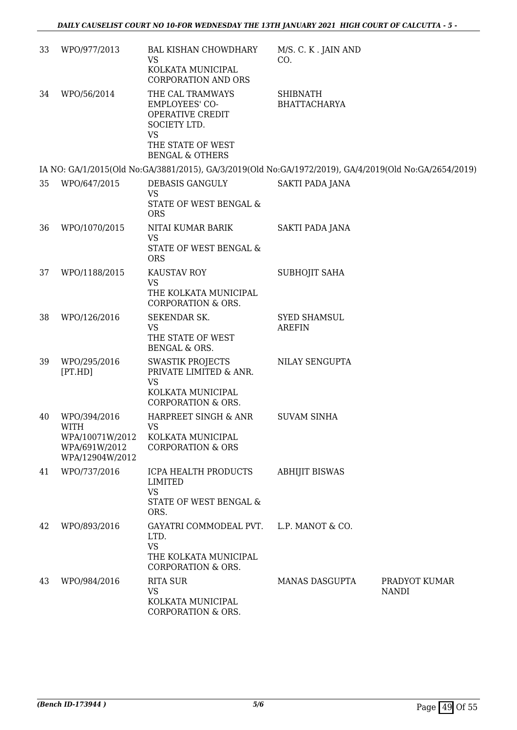| 33 | WPO/977/2013                                                                | <b>BAL KISHAN CHOWDHARY</b><br>VS<br>KOLKATA MUNICIPAL<br><b>CORPORATION AND ORS</b>                                 | M/S. C. K. JAIN AND<br>CO.             |                               |
|----|-----------------------------------------------------------------------------|----------------------------------------------------------------------------------------------------------------------|----------------------------------------|-------------------------------|
| 34 | WPO/56/2014                                                                 | THE CAL TRAMWAYS<br>EMPLOYEES' CO-<br>OPERATIVE CREDIT<br>SOCIETY LTD.<br><b>VS</b><br>THE STATE OF WEST             | <b>SHIBNATH</b><br><b>BHATTACHARYA</b> |                               |
|    |                                                                             | <b>BENGAL &amp; OTHERS</b>                                                                                           |                                        |                               |
|    |                                                                             | IA NO: GA/1/2015(Old No:GA/3881/2015), GA/3/2019(Old No:GA/1972/2019), GA/4/2019(Old No:GA/2654/2019)                |                                        |                               |
| 35 | WPO/647/2015                                                                | DEBASIS GANGULY<br><b>VS</b><br>STATE OF WEST BENGAL &<br><b>ORS</b>                                                 | SAKTI PADA JANA                        |                               |
| 36 | WPO/1070/2015                                                               | NITAI KUMAR BARIK<br><b>VS</b><br>STATE OF WEST BENGAL &<br><b>ORS</b>                                               | <b>SAKTI PADA JANA</b>                 |                               |
| 37 | WPO/1188/2015                                                               | KAUSTAV ROY<br>VS<br>THE KOLKATA MUNICIPAL<br><b>CORPORATION &amp; ORS.</b>                                          | SUBHOJIT SAHA                          |                               |
| 38 | WPO/126/2016                                                                | SEKENDAR SK.<br><b>VS</b><br>THE STATE OF WEST<br>BENGAL & ORS.                                                      | <b>SYED SHAMSUL</b><br><b>AREFIN</b>   |                               |
| 39 | WPO/295/2016<br>[PT.HD]                                                     | <b>SWASTIK PROJECTS</b><br>PRIVATE LIMITED & ANR.<br><b>VS</b><br>KOLKATA MUNICIPAL<br><b>CORPORATION &amp; ORS.</b> | NILAY SENGUPTA                         |                               |
| 40 | WPO/394/2016<br>WITH<br>WPA/10071W/2012<br>WPA/691W/2012<br>WPA/12904W/2012 | HARPREET SINGH & ANR<br><b>VS</b><br>KOLKATA MUNICIPAL<br><b>CORPORATION &amp; ORS</b>                               | <b>SUVAM SINHA</b>                     |                               |
| 41 | WPO/737/2016                                                                | ICPA HEALTH PRODUCTS<br>LIMITED<br><b>VS</b><br>STATE OF WEST BENGAL &<br>ORS.                                       | <b>ABHIJIT BISWAS</b>                  |                               |
| 42 | WPO/893/2016                                                                | GAYATRI COMMODEAL PVT.<br>LTD.<br><b>VS</b><br>THE KOLKATA MUNICIPAL<br>CORPORATION & ORS.                           | L.P. MANOT & CO.                       |                               |
| 43 | WPO/984/2016                                                                | <b>RITA SUR</b><br><b>VS</b><br>KOLKATA MUNICIPAL<br>CORPORATION & ORS.                                              | <b>MANAS DASGUPTA</b>                  | PRADYOT KUMAR<br><b>NANDI</b> |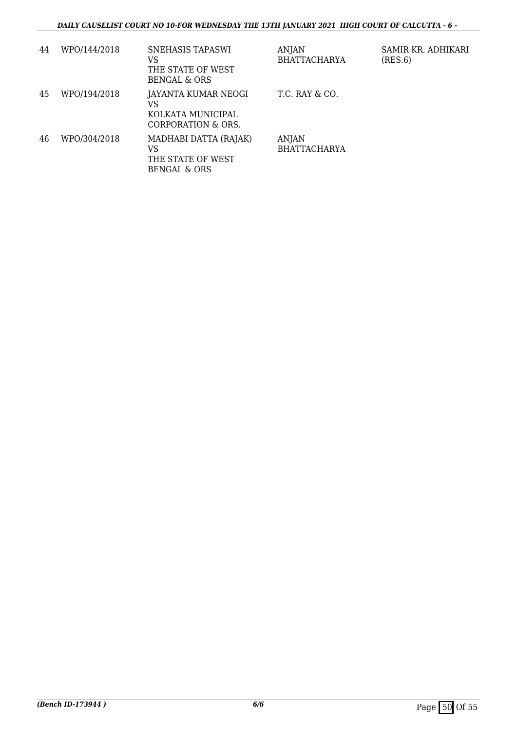| 44 | WPO/144/2018 | SNEHASIS TAPASWI<br>VS<br>THE STATE OF WEST<br>BENGAL & ORS          | ANJAN<br><b>BHATTACHARYA</b> | SAMIR KR. ADHIKARI<br>(RES.6) |
|----|--------------|----------------------------------------------------------------------|------------------------------|-------------------------------|
| 45 | WPO/194/2018 | JAYANTA KUMAR NEOGI<br>VS<br>KOLKATA MUNICIPAL<br>CORPORATION & ORS. | T.C. RAY & CO.               |                               |
| 46 | WPO/304/2018 | MADHABI DATTA (RAJAK)<br>VS<br>THE STATE OF WEST<br>BENGAL & ORS     | ANJAN<br><b>BHATTACHARYA</b> |                               |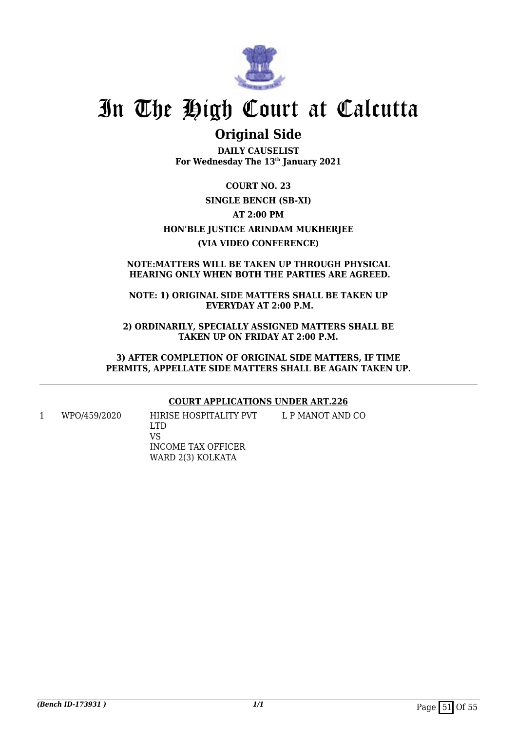

## **Original Side**

**DAILY CAUSELIST For Wednesday The 13th January 2021**

**COURT NO. 23 SINGLE BENCH (SB-XI) AT 2:00 PM HON'BLE JUSTICE ARINDAM MUKHERJEE (VIA VIDEO CONFERENCE)**

### **NOTE:MATTERS WILL BE TAKEN UP THROUGH PHYSICAL HEARING ONLY WHEN BOTH THE PARTIES ARE AGREED.**

**NOTE: 1) ORIGINAL SIDE MATTERS SHALL BE TAKEN UP EVERYDAY AT 2:00 P.M.**

**2) ORDINARILY, SPECIALLY ASSIGNED MATTERS SHALL BE TAKEN UP ON FRIDAY AT 2:00 P.M.**

**3) AFTER COMPLETION OF ORIGINAL SIDE MATTERS, IF TIME PERMITS, APPELLATE SIDE MATTERS SHALL BE AGAIN TAKEN UP.**

### **COURT APPLICATIONS UNDER ART.226**

1 WPO/459/2020 HIRISE HOSPITALITY PVT LTD VS INCOME TAX OFFICER WARD 2(3) KOLKATA L P MANOT AND CO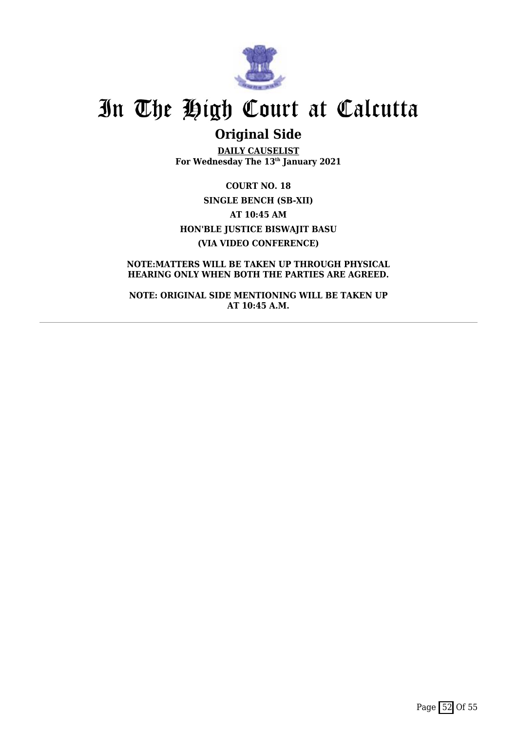

# **Original Side**

**DAILY CAUSELIST For Wednesday The 13th January 2021**

**COURT NO. 18 SINGLE BENCH (SB-XII) AT 10:45 AM HON'BLE JUSTICE BISWAJIT BASU (VIA VIDEO CONFERENCE)**

**NOTE:MATTERS WILL BE TAKEN UP THROUGH PHYSICAL HEARING ONLY WHEN BOTH THE PARTIES ARE AGREED.**

**NOTE: ORIGINAL SIDE MENTIONING WILL BE TAKEN UP AT 10:45 A.M.**

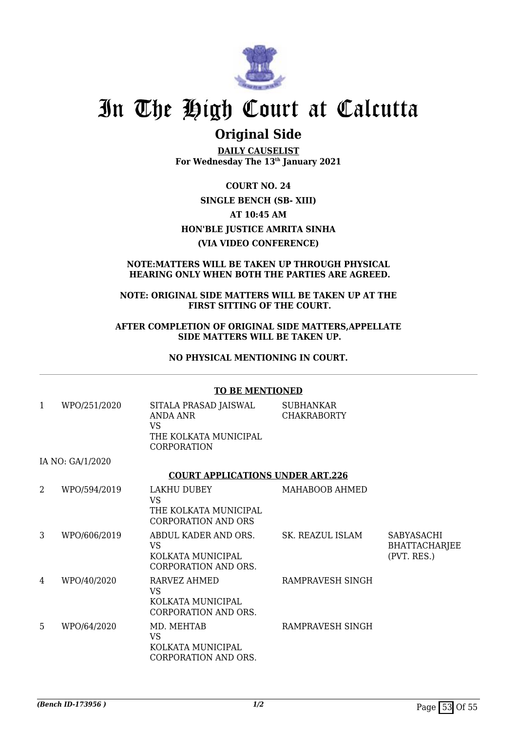

## **Original Side**

**DAILY CAUSELIST For Wednesday The 13th January 2021**

**COURT NO. 24 SINGLE BENCH (SB- XIII) AT 10:45 AM HON'BLE JUSTICE AMRITA SINHA (VIA VIDEO CONFERENCE)**

### **NOTE:MATTERS WILL BE TAKEN UP THROUGH PHYSICAL HEARING ONLY WHEN BOTH THE PARTIES ARE AGREED.**

### **NOTE: ORIGINAL SIDE MATTERS WILL BE TAKEN UP AT THE FIRST SITTING OF THE COURT.**

#### **AFTER COMPLETION OF ORIGINAL SIDE MATTERS,APPELLATE SIDE MATTERS WILL BE TAKEN UP.**

### **NO PHYSICAL MENTIONING IN COURT.**

|              |                  | <b>TO BE MENTIONED</b>                                                                        |                                 |                                                          |
|--------------|------------------|-----------------------------------------------------------------------------------------------|---------------------------------|----------------------------------------------------------|
| $\mathbf{1}$ | WPO/251/2020     | SITALA PRASAD JAISWAL<br>ANDA ANR<br><b>VS</b><br>THE KOLKATA MUNICIPAL<br><b>CORPORATION</b> | SUBHANKAR<br><b>CHAKRABORTY</b> |                                                          |
|              | IA NO: GA/1/2020 |                                                                                               |                                 |                                                          |
|              |                  | <b>COURT APPLICATIONS UNDER ART.226</b>                                                       |                                 |                                                          |
| 2            | WPO/594/2019     | LAKHU DUBEY<br><b>VS</b><br>THE KOLKATA MUNICIPAL<br>CORPORATION AND ORS                      | MAHABOOB AHMED                  |                                                          |
| 3            | WPO/606/2019     | ABDUL KADER AND ORS.<br><b>VS</b><br>KOLKATA MUNICIPAL<br>CORPORATION AND ORS.                | SK. REAZUL ISLAM                | <b>SABYASACHI</b><br><b>BHATTACHARJEE</b><br>(PVT. RES.) |
| 4            | WPO/40/2020      | RARVEZ AHMED<br><b>VS</b><br>KOLKATA MUNICIPAL<br><b>CORPORATION AND ORS.</b>                 | RAMPRAVESH SINGH                |                                                          |
| 5            | WPO/64/2020      | MD. MEHTAB<br><b>VS</b><br>KOLKATA MUNICIPAL<br>CORPORATION AND ORS.                          | RAMPRAVESH SINGH                |                                                          |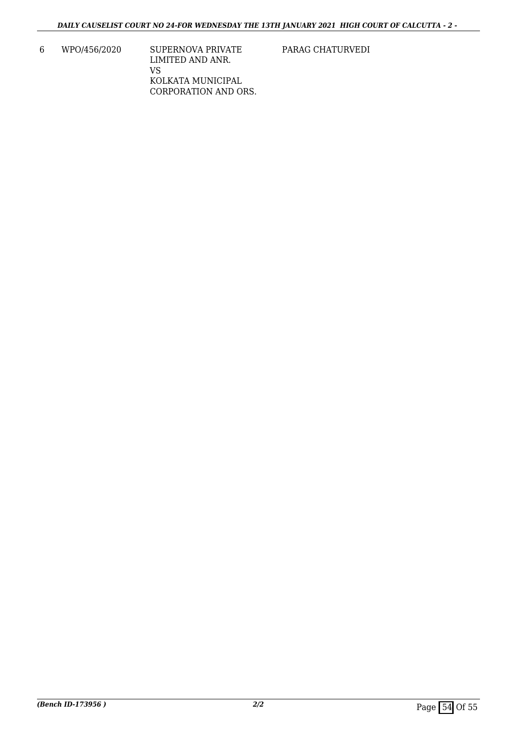6 WPO/456/2020 SUPERNOVA PRIVATE LIMITED AND ANR. VS KOLKATA MUNICIPAL CORPORATION AND ORS. PARAG CHATURVEDI